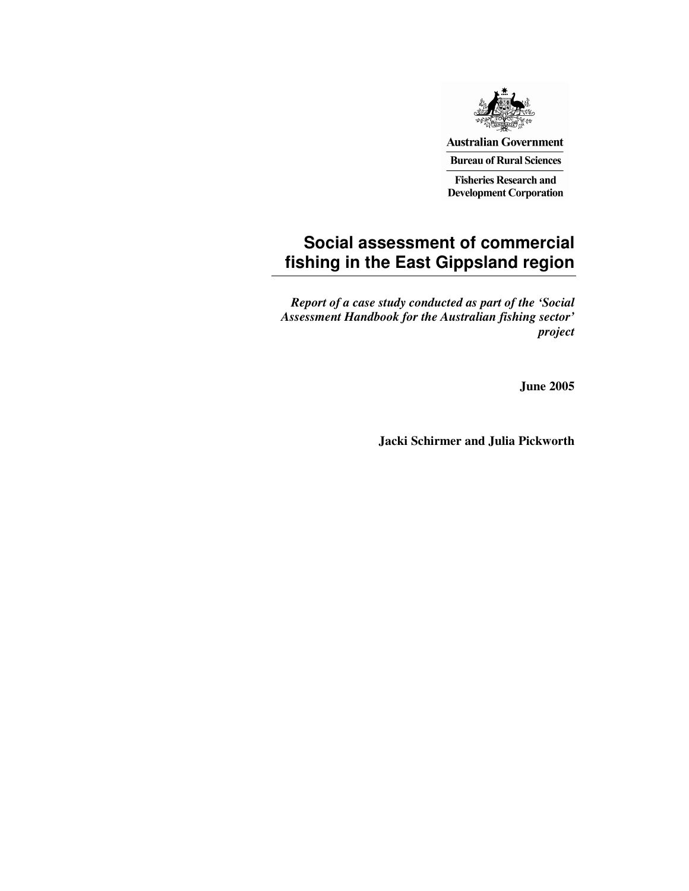

**Australian Government Bureau of Rural Sciences** 

**Fisheries Research and Development Corporation** 

## **Social assessment of commercial fishing in the East Gippsland region**

*Report of a case study conducted as part of the 'Social Assessment Handbook for the Australian fishing sector' project*

**June 2005**

**Jacki Schirmer and Julia Pickworth**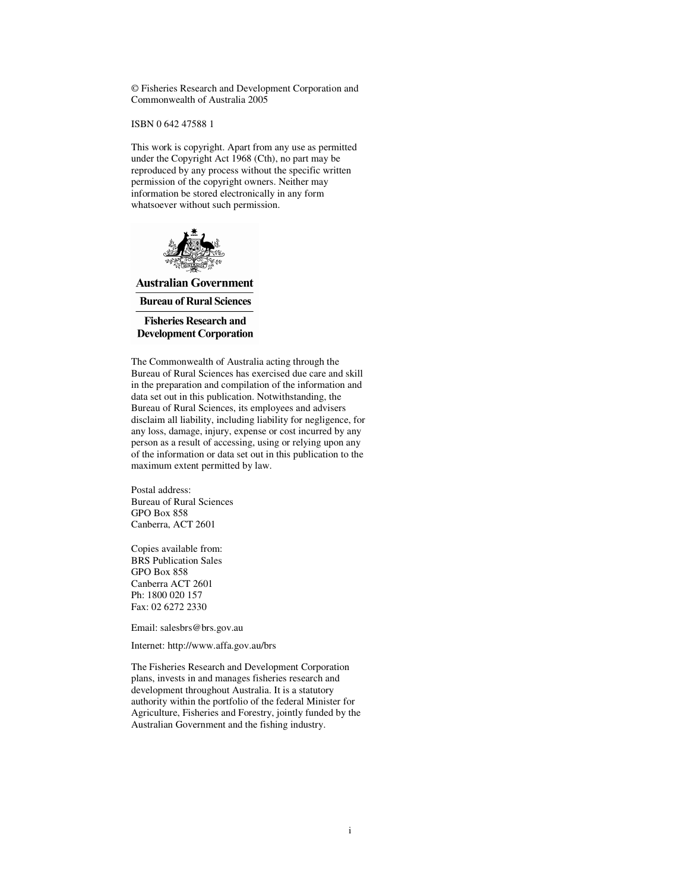© Fisheries Research and Development Corporation and Commonwealth of Australia 2005

ISBN 0 642 47588 1

This work is copyright. Apart from any use as permitted under the Copyright Act 1968 (Cth), no part may be reproduced by any process without the specific written permission of the copyright owners. Neither may information be stored electronically in any form whatsoever without such permission.



**Australian Government Bureau of Rural Sciences** 

**Fisheries Research and Development Corporation** 

The Commonwealth of Australia acting through the Bureau of Rural Sciences has exercised due care and skill in the preparation and compilation of the information and data set out in this publication. Notwithstanding, the Bureau of Rural Sciences, its employees and advisers disclaim all liability, including liability for negligence, for any loss, damage, injury, expense or cost incurred by any person as a result of accessing, using or relying upon any of the information or data set out in this publication to the maximum extent permitted by law.

Postal address: Bureau of Rural Sciences GPO Box 858 Canberra, ACT 2601

Copies available from: BRS Publication Sales GPO Box 858 Canberra ACT 2601 Ph: 1800 020 157 Fax: 02 6272 2330

Email: salesbrs@brs.gov.au

Internet: http://www.affa.gov.au/brs

The Fisheries Research and Development Corporation plans, invests in and manages fisheries research and development throughout Australia. It is a statutory authority within the portfolio of the federal Minister for Agriculture, Fisheries and Forestry, jointly funded by the Australian Government and the fishing industry.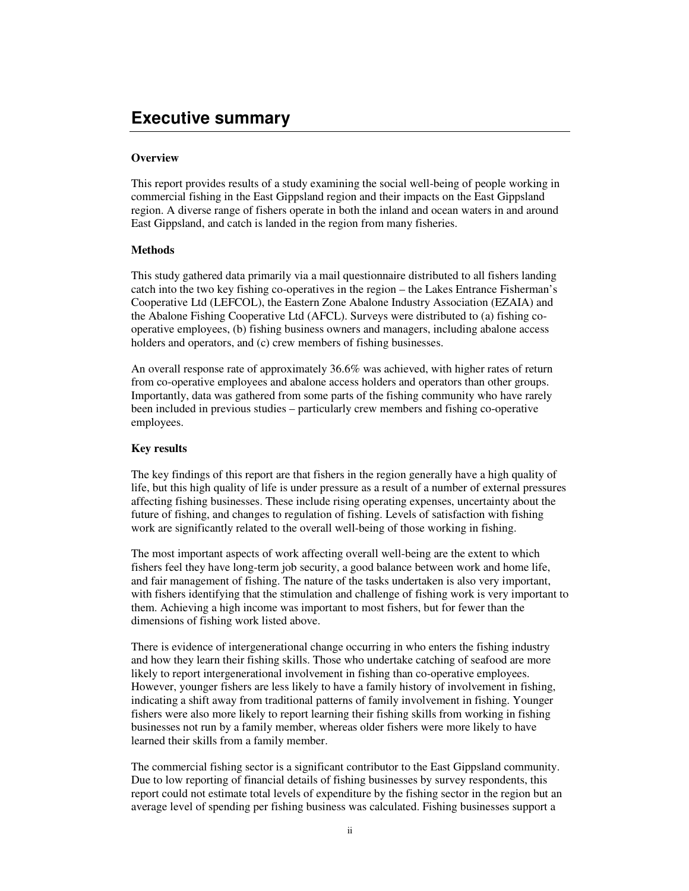## **Executive summary**

#### **Overview**

This report provides results of a study examining the social well-being of people working in commercial fishing in the East Gippsland region and their impacts on the East Gippsland region. A diverse range of fishers operate in both the inland and ocean waters in and around East Gippsland, and catch is landed in the region from many fisheries.

### **Methods**

This study gathered data primarily via a mail questionnaire distributed to all fishers landing catch into the two key fishing co-operatives in the region – the Lakes Entrance Fisherman's Cooperative Ltd (LEFCOL), the Eastern Zone Abalone Industry Association (EZAIA) and the Abalone Fishing Cooperative Ltd (AFCL). Surveys were distributed to (a) fishing cooperative employees, (b) fishing business owners and managers, including abalone access holders and operators, and (c) crew members of fishing businesses.

An overall response rate of approximately 36.6% was achieved, with higher rates of return from co-operative employees and abalone access holders and operators than other groups. Importantly, data was gathered from some parts of the fishing community who have rarely been included in previous studies – particularly crew members and fishing co-operative employees.

#### **Key results**

The key findings of this report are that fishers in the region generally have a high quality of life, but this high quality of life is under pressure as a result of a number of external pressures affecting fishing businesses. These include rising operating expenses, uncertainty about the future of fishing, and changes to regulation of fishing. Levels of satisfaction with fishing work are significantly related to the overall well-being of those working in fishing.

The most important aspects of work affecting overall well-being are the extent to which fishers feel they have long-term job security, a good balance between work and home life, and fair management of fishing. The nature of the tasks undertaken is also very important, with fishers identifying that the stimulation and challenge of fishing work is very important to them. Achieving a high income was important to most fishers, but for fewer than the dimensions of fishing work listed above.

There is evidence of intergenerational change occurring in who enters the fishing industry and how they learn their fishing skills. Those who undertake catching of seafood are more likely to report intergenerational involvement in fishing than co-operative employees. However, younger fishers are less likely to have a family history of involvement in fishing, indicating a shift away from traditional patterns of family involvement in fishing. Younger fishers were also more likely to report learning their fishing skills from working in fishing businesses not run by a family member, whereas older fishers were more likely to have learned their skills from a family member.

The commercial fishing sector is a significant contributor to the East Gippsland community. Due to low reporting of financial details of fishing businesses by survey respondents, this report could not estimate total levels of expenditure by the fishing sector in the region but an average level of spending per fishing business was calculated. Fishing businesses support a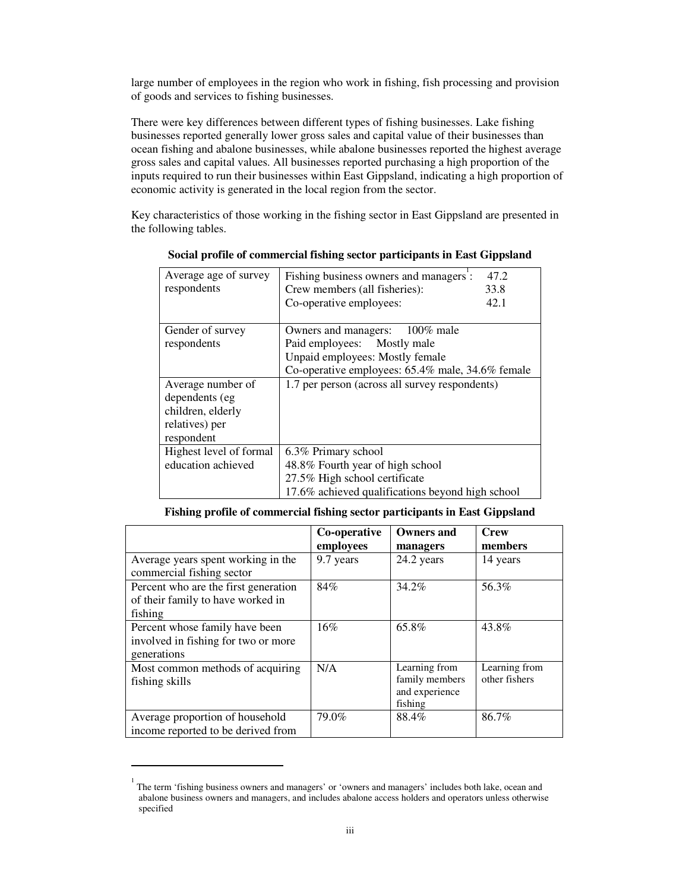large number of employees in the region who work in fishing, fish processing and provision of goods and services to fishing businesses.

There were key differences between different types of fishing businesses. Lake fishing businesses reported generally lower gross sales and capital value of their businesses than ocean fishing and abalone businesses, while abalone businesses reported the highest average gross sales and capital values. All businesses reported purchasing a high proportion of the inputs required to run their businesses within East Gippsland, indicating a high proportion of economic activity is generated in the local region from the sector.

Key characteristics of those working in the fishing sector in East Gippsland are presented in the following tables.

| Average age of survey   | 47.2<br>Fishing business owners and managers:    |  |
|-------------------------|--------------------------------------------------|--|
| respondents             | Crew members (all fisheries):<br>33.8            |  |
|                         | 42.1<br>Co-operative employees:                  |  |
|                         |                                                  |  |
| Gender of survey        | 100% male<br>Owners and managers:                |  |
| respondents             | Paid employees: Mostly male                      |  |
|                         | Unpaid employees: Mostly female                  |  |
|                         | Co-operative employees: 65.4% male, 34.6% female |  |
| Average number of       | 1.7 per person (across all survey respondents)   |  |
| dependents (eg          |                                                  |  |
| children, elderly       |                                                  |  |
| relatives) per          |                                                  |  |
| respondent              |                                                  |  |
| Highest level of formal | 6.3% Primary school                              |  |
| education achieved      | 48.8% Fourth year of high school                 |  |
|                         | 27.5% High school certificate                    |  |
|                         | 17.6% achieved qualifications beyond high school |  |

## **Fishing profile of commercial fishing sector participants in East Gippsland**

|                                                                                      | Co-operative | <b>Owners and</b>                                            | <b>Crew</b>                    |
|--------------------------------------------------------------------------------------|--------------|--------------------------------------------------------------|--------------------------------|
|                                                                                      | employees    | managers                                                     | members                        |
| Average years spent working in the<br>commercial fishing sector                      | 9.7 years    | 24.2 years                                                   | 14 years                       |
| Percent who are the first generation<br>of their family to have worked in<br>fishing | 84%          | 34.2%                                                        | 56.3%                          |
| Percent whose family have been<br>involved in fishing for two or more<br>generations | 16%          | 65.8%                                                        | 43.8%                          |
| Most common methods of acquiring<br>fishing skills                                   | N/A          | Learning from<br>family members<br>and experience<br>fishing | Learning from<br>other fishers |
| Average proportion of household<br>income reported to be derived from                | 79.0%        | 88.4%                                                        | 86.7%                          |

<sup>1</sup> The term 'fishing business owners and managers' or 'owners and managers' includes both lake, ocean and abalone business owners and managers, and includes abalone access holders and operators unless otherwise specified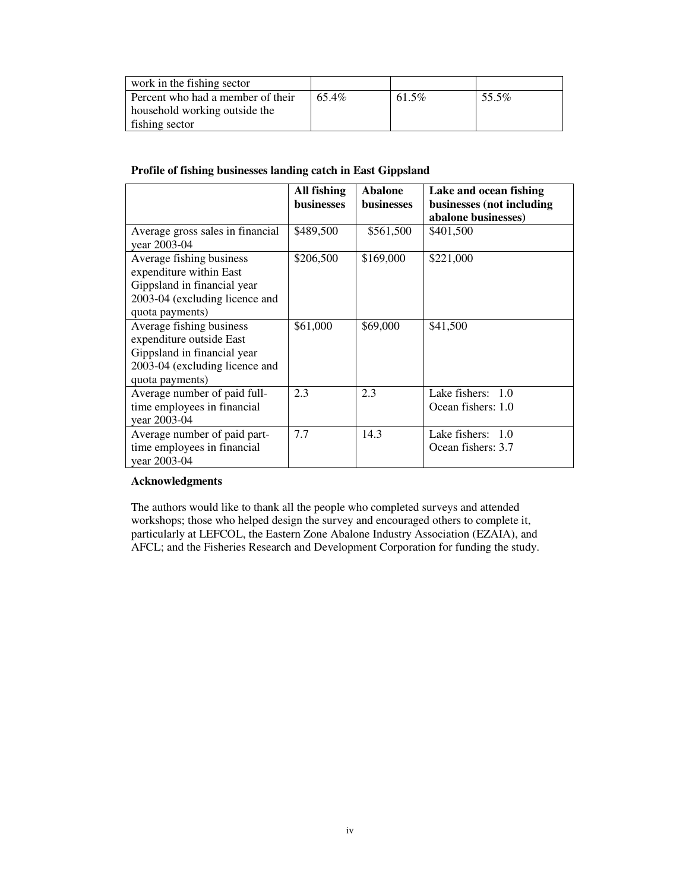| work in the fishing sector                                         |       |       |       |
|--------------------------------------------------------------------|-------|-------|-------|
| Percent who had a member of their<br>household working outside the | 65.4% | 61.5% | 55.5% |
| fishing sector                                                     |       |       |       |

## **Profile of fishing businesses landing catch in East Gippsland**

|                                                                                                                                          | All fishing<br><b>businesses</b> | <b>Abalone</b><br><b>businesses</b> | Lake and ocean fishing<br>businesses (not including<br>abalone businesses) |
|------------------------------------------------------------------------------------------------------------------------------------------|----------------------------------|-------------------------------------|----------------------------------------------------------------------------|
| Average gross sales in financial<br>year 2003-04                                                                                         | \$489,500                        | \$561,500                           | \$401,500                                                                  |
| Average fishing business<br>expenditure within East<br>Gippsland in financial year<br>2003-04 (excluding licence and<br>quota payments)  | \$206,500                        | \$169,000                           | \$221,000                                                                  |
| Average fishing business<br>expenditure outside East<br>Gippsland in financial year<br>2003-04 (excluding licence and<br>quota payments) | \$61,000                         | \$69,000                            | \$41,500                                                                   |
| Average number of paid full-<br>time employees in financial<br>year 2003-04                                                              | 2.3                              | 2.3                                 | Lake fishers: $1.0$<br>Ocean fishers: 1.0                                  |
| Average number of paid part-<br>time employees in financial<br>year 2003-04                                                              | 7.7                              | 14.3                                | Lake fishers: $1.0$<br>Ocean fishers: 3.7                                  |

### **Acknowledgments**

The authors would like to thank all the people who completed surveys and attended workshops; those who helped design the survey and encouraged others to complete it, particularly at LEFCOL, the Eastern Zone Abalone Industry Association (EZAIA), and AFCL; and the Fisheries Research and Development Corporation for funding the study.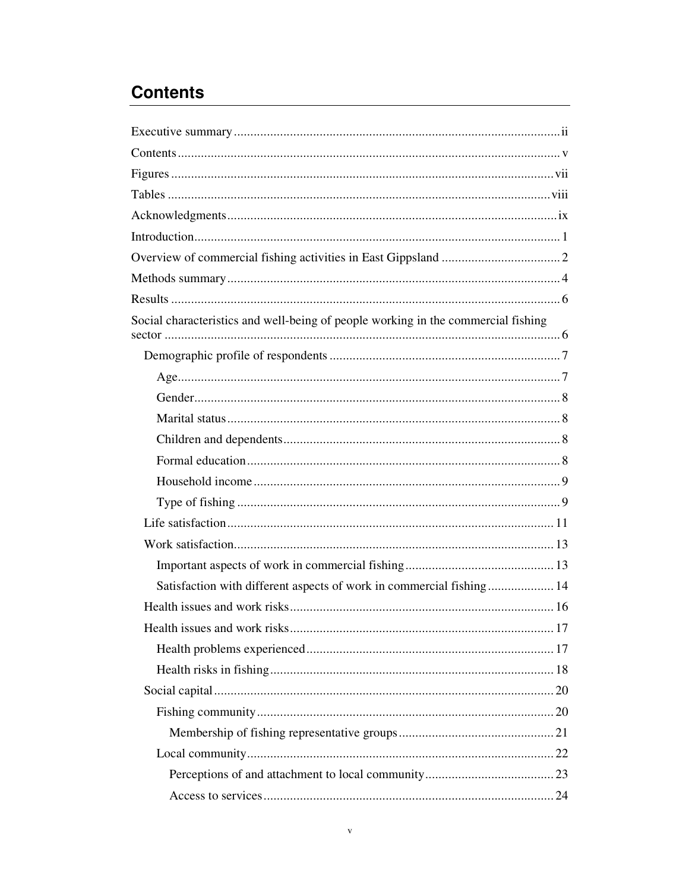# **Contents**

| Social characteristics and well-being of people working in the commercial fishing |
|-----------------------------------------------------------------------------------|
|                                                                                   |
|                                                                                   |
|                                                                                   |
|                                                                                   |
|                                                                                   |
|                                                                                   |
|                                                                                   |
|                                                                                   |
|                                                                                   |
|                                                                                   |
|                                                                                   |
| Satisfaction with different aspects of work in commercial fishing 14              |
|                                                                                   |
|                                                                                   |
|                                                                                   |
|                                                                                   |
|                                                                                   |
|                                                                                   |
|                                                                                   |
|                                                                                   |
|                                                                                   |
|                                                                                   |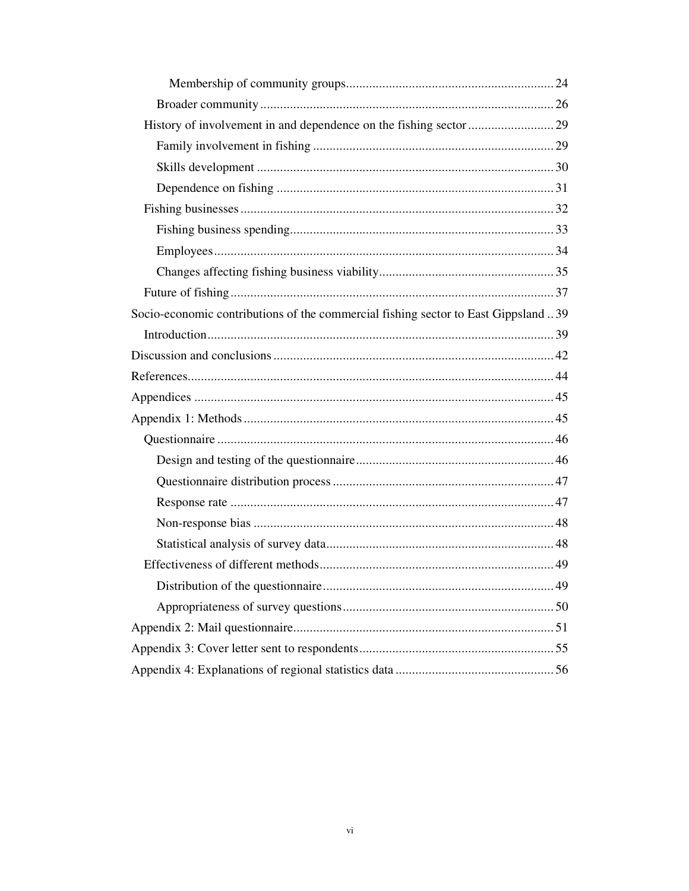| Socio-economic contributions of the commercial fishing sector to East Gippsland 39 |  |
|------------------------------------------------------------------------------------|--|
|                                                                                    |  |
|                                                                                    |  |
|                                                                                    |  |
|                                                                                    |  |
|                                                                                    |  |
|                                                                                    |  |
|                                                                                    |  |
|                                                                                    |  |
|                                                                                    |  |
|                                                                                    |  |
|                                                                                    |  |
|                                                                                    |  |
|                                                                                    |  |
|                                                                                    |  |
|                                                                                    |  |
|                                                                                    |  |
|                                                                                    |  |
|                                                                                    |  |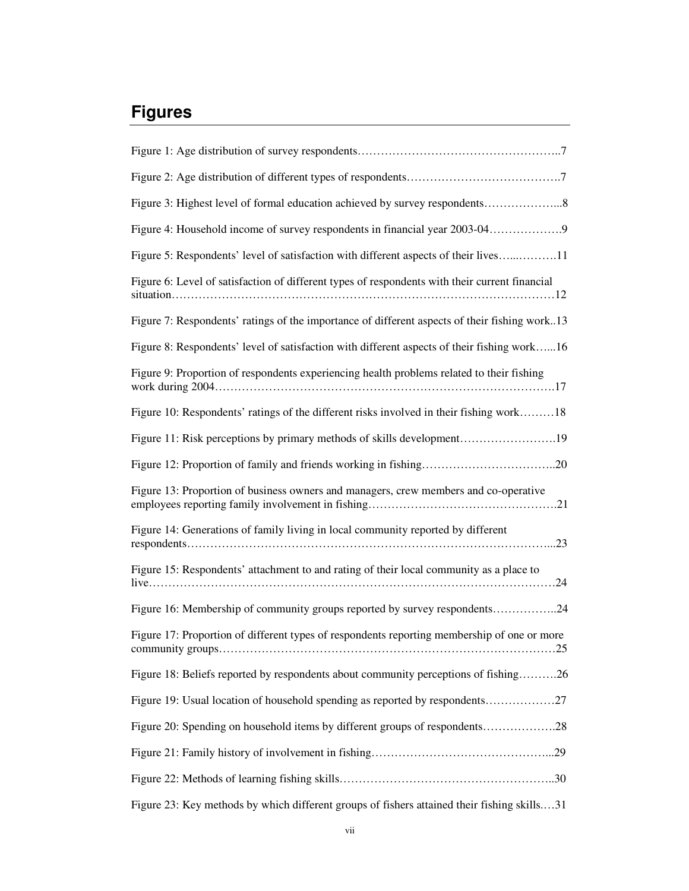# **Figures**

| Figure 4: Household income of survey respondents in financial year 2003-04                     |
|------------------------------------------------------------------------------------------------|
| Figure 5: Respondents' level of satisfaction with different aspects of their lives11           |
| Figure 6: Level of satisfaction of different types of respondents with their current financial |
| Figure 7: Respondents' ratings of the importance of different aspects of their fishing work13  |
| Figure 8: Respondents' level of satisfaction with different aspects of their fishing work16    |
| Figure 9: Proportion of respondents experiencing health problems related to their fishing      |
| Figure 10: Respondents' ratings of the different risks involved in their fishing work18        |
|                                                                                                |
|                                                                                                |
| Figure 13: Proportion of business owners and managers, crew members and co-operative           |
| Figure 14: Generations of family living in local community reported by different               |
| Figure 15: Respondents' attachment to and rating of their local community as a place to        |
| Figure 16: Membership of community groups reported by survey respondents24                     |
| Figure 17: Proportion of different types of respondents reporting membership of one or more    |
| Figure 18: Beliefs reported by respondents about community perceptions of fishing26            |
| Figure 19: Usual location of household spending as reported by respondents27                   |
| Figure 20: Spending on household items by different groups of respondents28                    |
|                                                                                                |
|                                                                                                |
| Figure 23: Key methods by which different groups of fishers attained their fishing skills31    |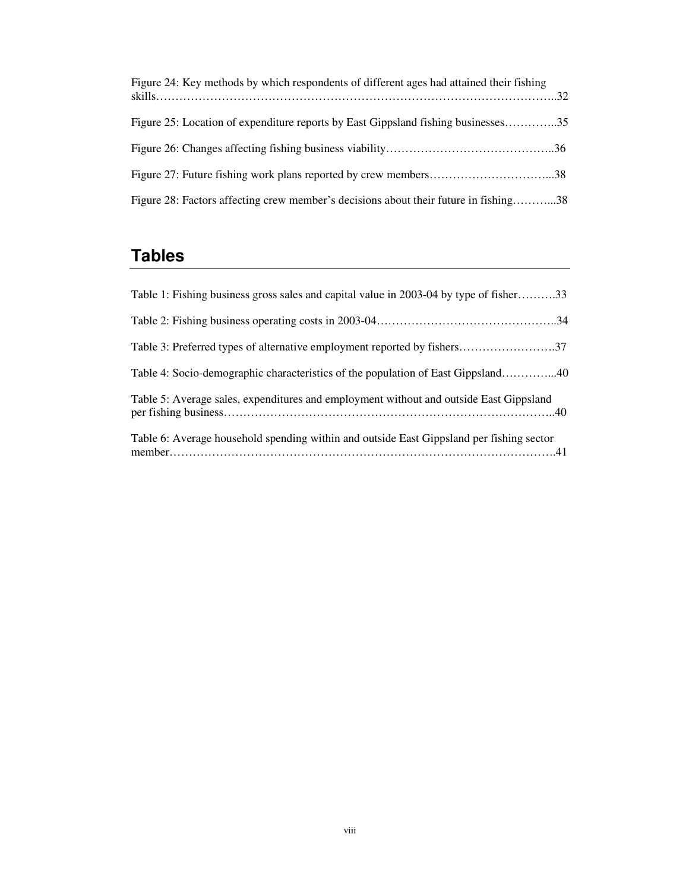| Figure 24: Key methods by which respondents of different ages had attained their fishing |  |
|------------------------------------------------------------------------------------------|--|
| Figure 25: Location of expenditure reports by East Gippsland fishing businesses35        |  |
|                                                                                          |  |
|                                                                                          |  |
| Figure 28: Factors affecting crew member's decisions about their future in fishing38     |  |

# **Tables**

| Table 1: Fishing business gross sales and capital value in 2003-04 by type of fisher33   |  |
|------------------------------------------------------------------------------------------|--|
|                                                                                          |  |
|                                                                                          |  |
| Table 4: Socio-demographic characteristics of the population of East Gippsland40         |  |
| Table 5: Average sales, expenditures and employment without and outside East Gippsland   |  |
| Table 6: Average household spending within and outside East Gippsland per fishing sector |  |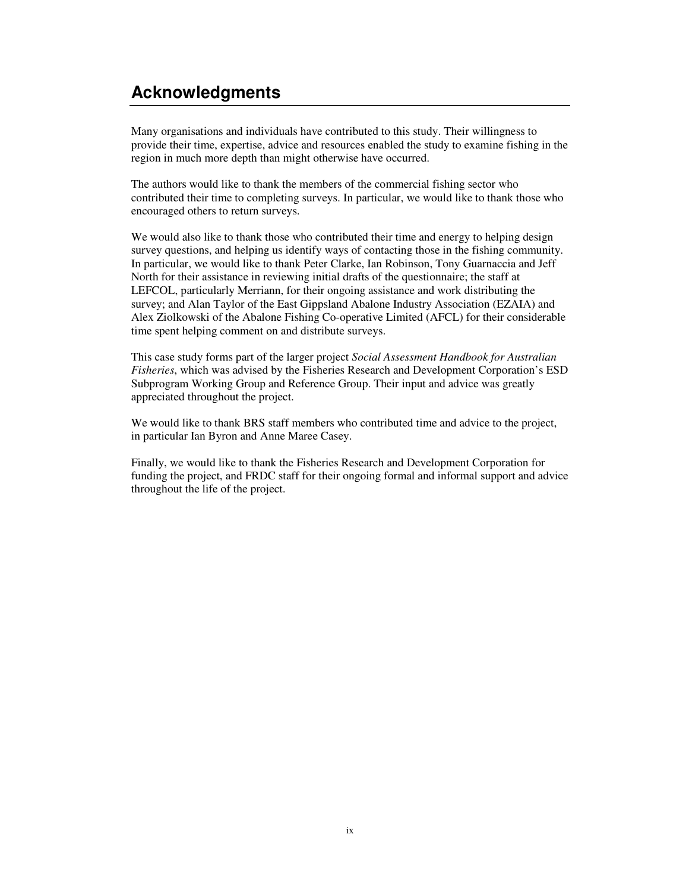## **Acknowledgments**

Many organisations and individuals have contributed to this study. Their willingness to provide their time, expertise, advice and resources enabled the study to examine fishing in the region in much more depth than might otherwise have occurred.

The authors would like to thank the members of the commercial fishing sector who contributed their time to completing surveys. In particular, we would like to thank those who encouraged others to return surveys.

We would also like to thank those who contributed their time and energy to helping design survey questions, and helping us identify ways of contacting those in the fishing community. In particular, we would like to thank Peter Clarke, Ian Robinson, Tony Guarnaccia and Jeff North for their assistance in reviewing initial drafts of the questionnaire; the staff at LEFCOL, particularly Merriann, for their ongoing assistance and work distributing the survey; and Alan Taylor of the East Gippsland Abalone Industry Association (EZAIA) and Alex Ziolkowski of the Abalone Fishing Co-operative Limited (AFCL) for their considerable time spent helping comment on and distribute surveys.

This case study forms part of the larger project *Social Assessment Handbook for Australian Fisheries*, which was advised by the Fisheries Research and Development Corporation's ESD Subprogram Working Group and Reference Group. Their input and advice was greatly appreciated throughout the project.

We would like to thank BRS staff members who contributed time and advice to the project, in particular Ian Byron and Anne Maree Casey.

Finally, we would like to thank the Fisheries Research and Development Corporation for funding the project, and FRDC staff for their ongoing formal and informal support and advice throughout the life of the project.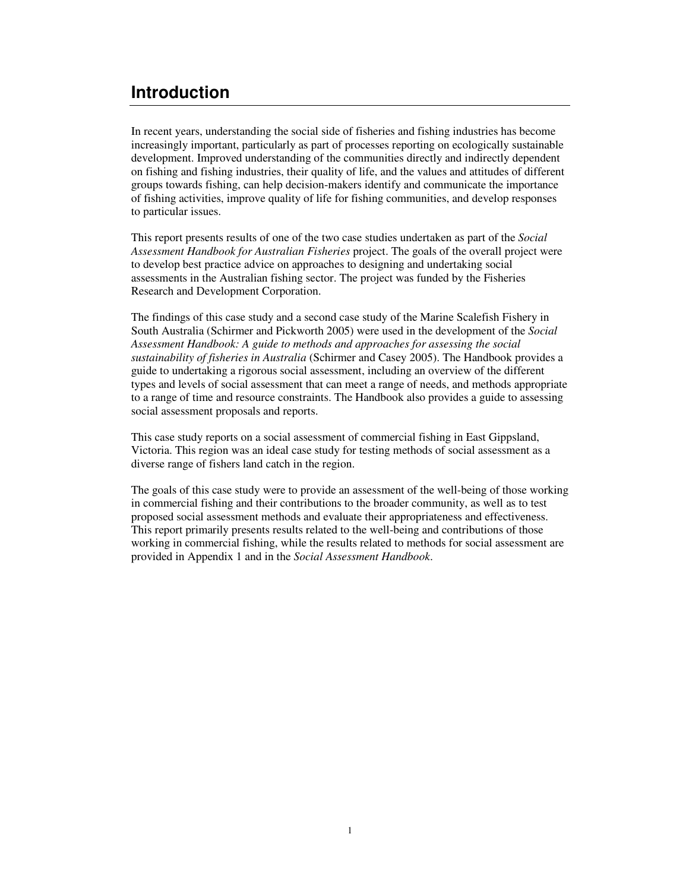## **Introduction**

In recent years, understanding the social side of fisheries and fishing industries has become increasingly important, particularly as part of processes reporting on ecologically sustainable development. Improved understanding of the communities directly and indirectly dependent on fishing and fishing industries, their quality of life, and the values and attitudes of different groups towards fishing, can help decision-makers identify and communicate the importance of fishing activities, improve quality of life for fishing communities, and develop responses to particular issues.

This report presents results of one of the two case studies undertaken as part of the *Social Assessment Handbook for Australian Fisheries* project. The goals of the overall project were to develop best practice advice on approaches to designing and undertaking social assessments in the Australian fishing sector. The project was funded by the Fisheries Research and Development Corporation.

The findings of this case study and a second case study of the Marine Scalefish Fishery in South Australia (Schirmer and Pickworth 2005) were used in the development of the *Social Assessment Handbook: A guide to methods and approaches for assessing the social sustainability of fisheries in Australia* (Schirmer and Casey 2005). The Handbook provides a guide to undertaking a rigorous social assessment, including an overview of the different types and levels of social assessment that can meet a range of needs, and methods appropriate to a range of time and resource constraints. The Handbook also provides a guide to assessing social assessment proposals and reports.

This case study reports on a social assessment of commercial fishing in East Gippsland, Victoria. This region was an ideal case study for testing methods of social assessment as a diverse range of fishers land catch in the region.

The goals of this case study were to provide an assessment of the well-being of those working in commercial fishing and their contributions to the broader community, as well as to test proposed social assessment methods and evaluate their appropriateness and effectiveness. This report primarily presents results related to the well-being and contributions of those working in commercial fishing, while the results related to methods for social assessment are provided in Appendix 1 and in the *Social Assessment Handbook*.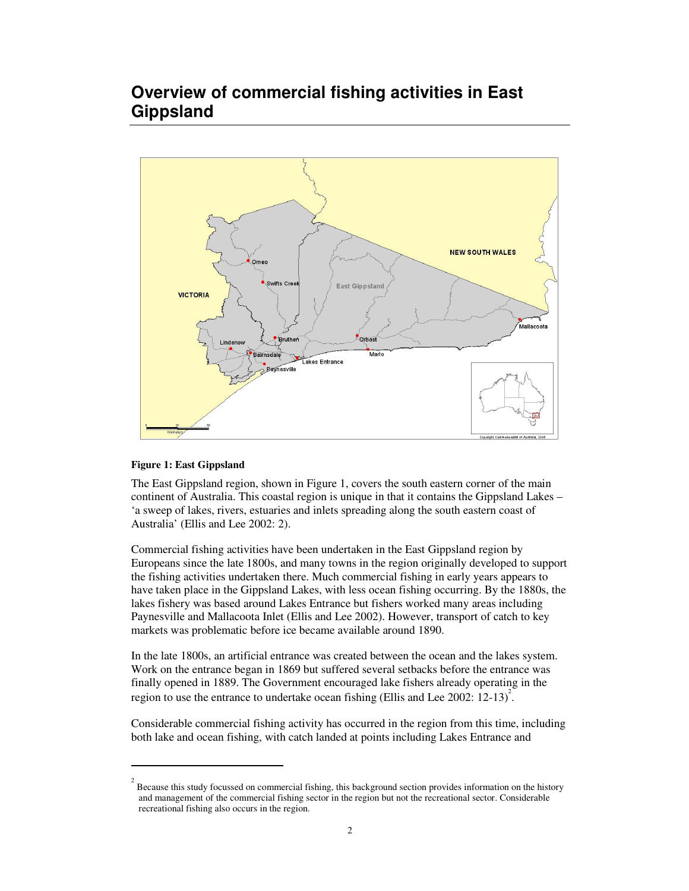## **Overview of commercial fishing activities in East Gippsland**



### **Figure 1: East Gippsland**

The East Gippsland region, shown in Figure 1, covers the south eastern corner of the main continent of Australia. This coastal region is unique in that it contains the Gippsland Lakes – 'a sweep of lakes, rivers, estuaries and inlets spreading along the south eastern coast of Australia' (Ellis and Lee 2002: 2).

Commercial fishing activities have been undertaken in the East Gippsland region by Europeans since the late 1800s, and many towns in the region originally developed to support the fishing activities undertaken there. Much commercial fishing in early years appears to have taken place in the Gippsland Lakes, with less ocean fishing occurring. By the 1880s, the lakes fishery was based around Lakes Entrance but fishers worked many areas including Paynesville and Mallacoota Inlet (Ellis and Lee 2002). However, transport of catch to key markets was problematic before ice became available around 1890.

In the late 1800s, an artificial entrance was created between the ocean and the lakes system. Work on the entrance began in 1869 but suffered several setbacks before the entrance was finally opened in 1889. The Government encouraged lake fishers already operating in the region to use the entrance to undertake ocean fishing (Ellis and Lee 2002: 12-13)<sup>2</sup>.

Considerable commercial fishing activity has occurred in the region from this time, including both lake and ocean fishing, with catch landed at points including Lakes Entrance and

 $2^{2}$  Because this study focussed on commercial fishing, this background section provides information on the history and management of the commercial fishing sector in the region but not the recreational sector. Considerable recreational fishing also occurs in the region.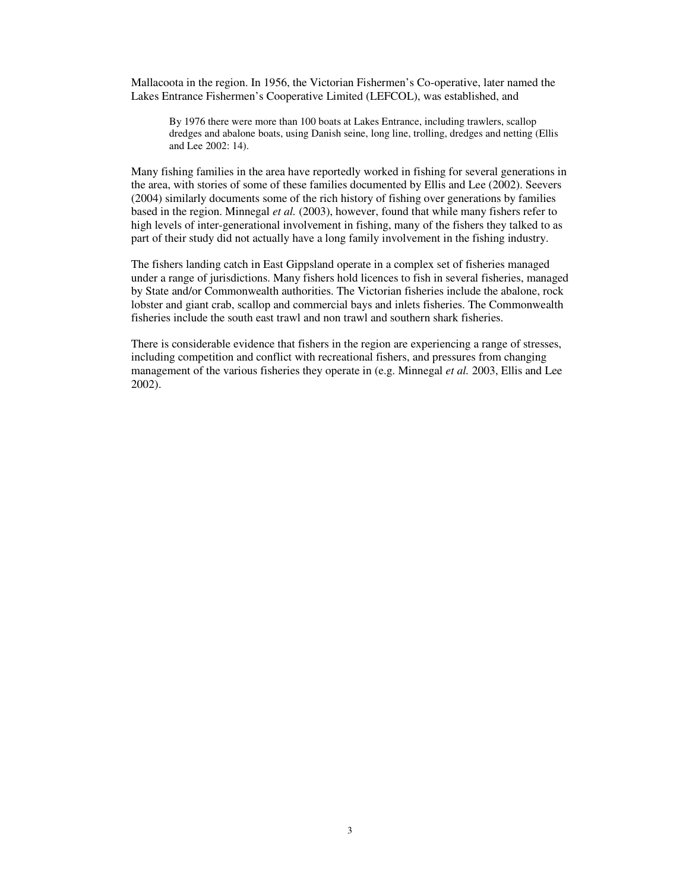Mallacoota in the region. In 1956, the Victorian Fishermen's Co-operative, later named the Lakes Entrance Fishermen's Cooperative Limited (LEFCOL), was established, and

By 1976 there were more than 100 boats at Lakes Entrance, including trawlers, scallop dredges and abalone boats, using Danish seine, long line, trolling, dredges and netting (Ellis and Lee 2002: 14).

Many fishing families in the area have reportedly worked in fishing for several generations in the area, with stories of some of these families documented by Ellis and Lee (2002). Seevers (2004) similarly documents some of the rich history of fishing over generations by families based in the region. Minnegal *et al.* (2003), however, found that while many fishers refer to high levels of inter-generational involvement in fishing, many of the fishers they talked to as part of their study did not actually have a long family involvement in the fishing industry.

The fishers landing catch in East Gippsland operate in a complex set of fisheries managed under a range of jurisdictions. Many fishers hold licences to fish in several fisheries, managed by State and/or Commonwealth authorities. The Victorian fisheries include the abalone, rock lobster and giant crab, scallop and commercial bays and inlets fisheries. The Commonwealth fisheries include the south east trawl and non trawl and southern shark fisheries.

There is considerable evidence that fishers in the region are experiencing a range of stresses, including competition and conflict with recreational fishers, and pressures from changing management of the various fisheries they operate in (e.g. Minnegal *et al.* 2003, Ellis and Lee 2002).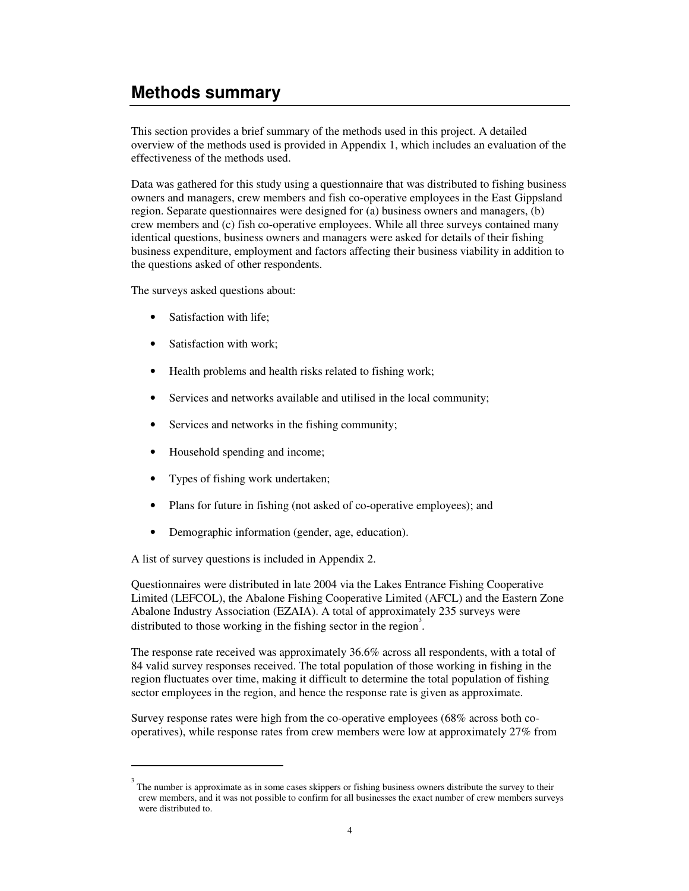## **Methods summary**

This section provides a brief summary of the methods used in this project. A detailed overview of the methods used is provided in Appendix 1, which includes an evaluation of the effectiveness of the methods used.

Data was gathered for this study using a questionnaire that was distributed to fishing business owners and managers, crew members and fish co-operative employees in the East Gippsland region. Separate questionnaires were designed for (a) business owners and managers, (b) crew members and (c) fish co-operative employees. While all three surveys contained many identical questions, business owners and managers were asked for details of their fishing business expenditure, employment and factors affecting their business viability in addition to the questions asked of other respondents.

The surveys asked questions about:

- Satisfaction with life;
- Satisfaction with work;
- Health problems and health risks related to fishing work;
- Services and networks available and utilised in the local community;
- Services and networks in the fishing community;
- Household spending and income;
- Types of fishing work undertaken;
- Plans for future in fishing (not asked of co-operative employees); and
- Demographic information (gender, age, education).

A list of survey questions is included in Appendix 2.

Questionnaires were distributed in late 2004 via the Lakes Entrance Fishing Cooperative Limited (LEFCOL), the Abalone Fishing Cooperative Limited (AFCL) and the Eastern Zone Abalone Industry Association (EZAIA). A total of approximately 235 surveys were distributed to those working in the fishing sector in the region<sup>3</sup>.

The response rate received was approximately 36.6% across all respondents, with a total of 84 valid survey responses received. The total population of those working in fishing in the region fluctuates over time, making it difficult to determine the total population of fishing sector employees in the region, and hence the response rate is given as approximate.

Survey response rates were high from the co-operative employees (68% across both cooperatives), while response rates from crew members were low at approximately 27% from

<sup>3</sup> The number is approximate as in some cases skippers or fishing business owners distribute the survey to their crew members, and it was not possible to confirm for all businesses the exact number of crew members surveys were distributed to.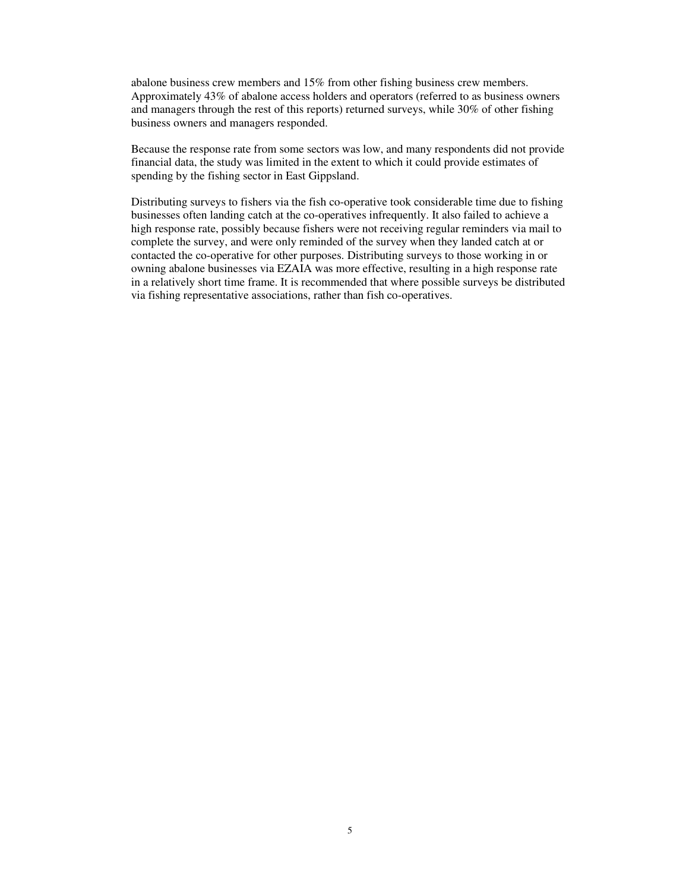abalone business crew members and 15% from other fishing business crew members. Approximately 43% of abalone access holders and operators (referred to as business owners and managers through the rest of this reports) returned surveys, while 30% of other fishing business owners and managers responded.

Because the response rate from some sectors was low, and many respondents did not provide financial data, the study was limited in the extent to which it could provide estimates of spending by the fishing sector in East Gippsland.

Distributing surveys to fishers via the fish co-operative took considerable time due to fishing businesses often landing catch at the co-operatives infrequently. It also failed to achieve a high response rate, possibly because fishers were not receiving regular reminders via mail to complete the survey, and were only reminded of the survey when they landed catch at or contacted the co-operative for other purposes. Distributing surveys to those working in or owning abalone businesses via EZAIA was more effective, resulting in a high response rate in a relatively short time frame. It is recommended that where possible surveys be distributed via fishing representative associations, rather than fish co-operatives.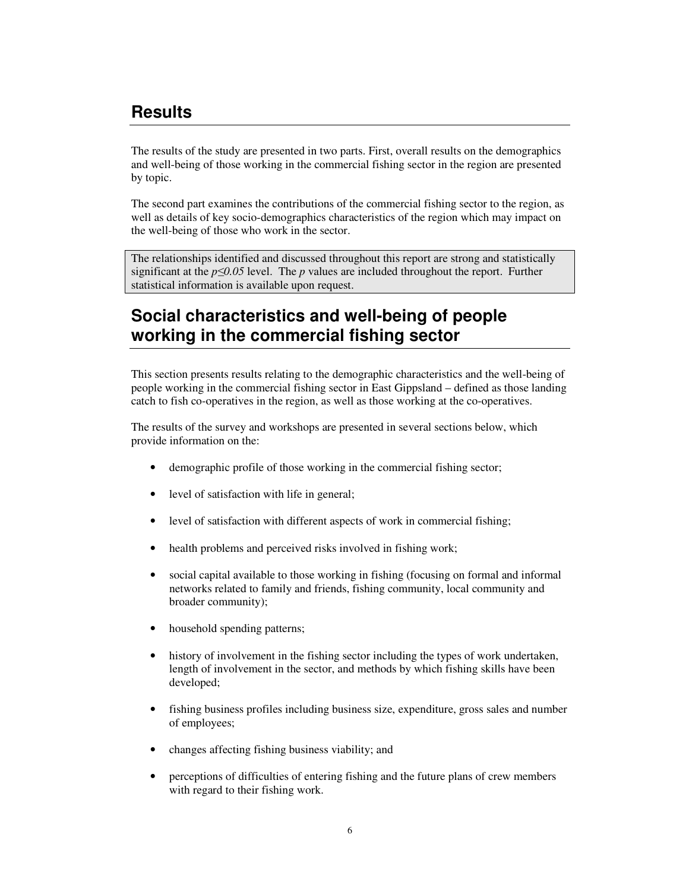## **Results**

The results of the study are presented in two parts. First, overall results on the demographics and well-being of those working in the commercial fishing sector in the region are presented by topic.

The second part examines the contributions of the commercial fishing sector to the region, as well as details of key socio-demographics characteristics of the region which may impact on the well-being of those who work in the sector.

The relationships identified and discussed throughout this report are strong and statistically significant at the  $p \le 0.05$  level. The *p* values are included throughout the report. Further statistical information is available upon request.

## **Social characteristics and well-being of people working in the commercial fishing sector**

This section presents results relating to the demographic characteristics and the well-being of people working in the commercial fishing sector in East Gippsland – defined as those landing catch to fish co-operatives in the region, as well as those working at the co-operatives.

The results of the survey and workshops are presented in several sections below, which provide information on the:

- demographic profile of those working in the commercial fishing sector;
- level of satisfaction with life in general;
- level of satisfaction with different aspects of work in commercial fishing;
- health problems and perceived risks involved in fishing work;
- social capital available to those working in fishing (focusing on formal and informal networks related to family and friends, fishing community, local community and broader community);
- household spending patterns;
- history of involvement in the fishing sector including the types of work undertaken, length of involvement in the sector, and methods by which fishing skills have been developed;
- fishing business profiles including business size, expenditure, gross sales and number of employees;
- changes affecting fishing business viability; and
- perceptions of difficulties of entering fishing and the future plans of crew members with regard to their fishing work.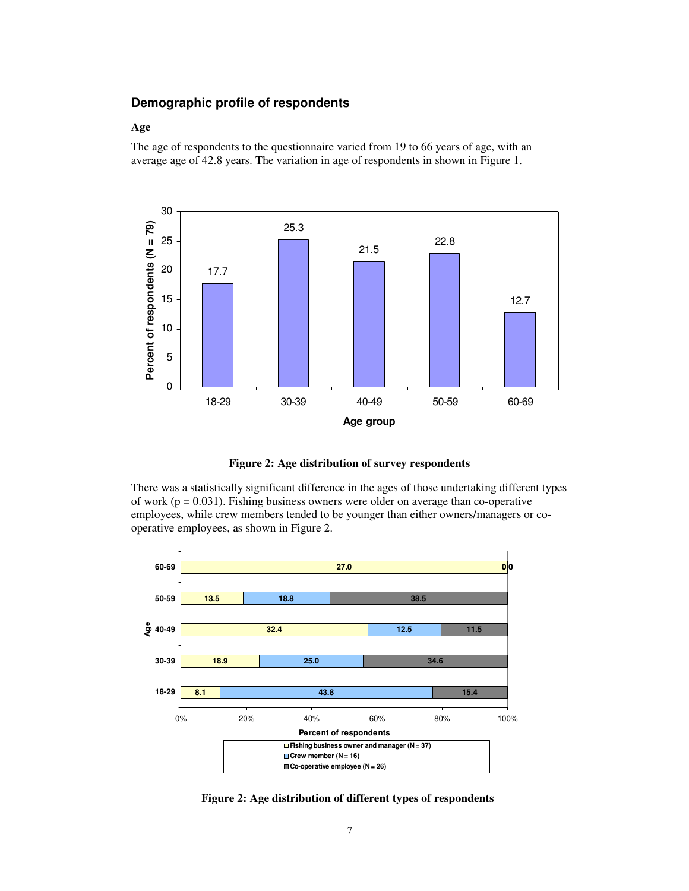## **Demographic profile of respondents**

#### **Age**

The age of respondents to the questionnaire varied from 19 to 66 years of age, with an average age of 42.8 years. The variation in age of respondents in shown in Figure 1.





There was a statistically significant difference in the ages of those undertaking different types of work ( $p = 0.031$ ). Fishing business owners were older on average than co-operative employees, while crew members tended to be younger than either owners/managers or cooperative employees, as shown in Figure 2.



**Figure 2: Age distribution of different types of respondents**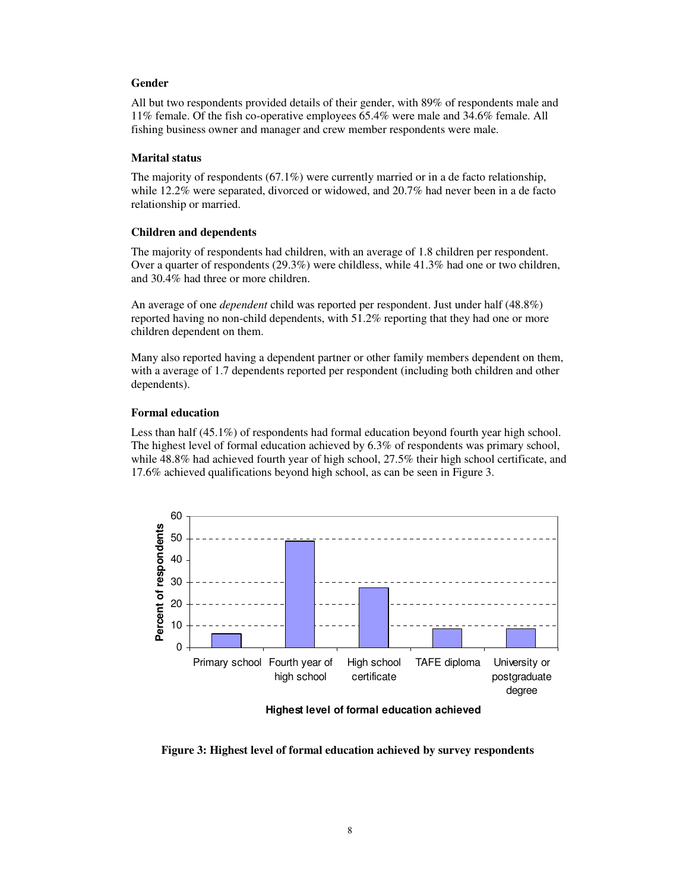### **Gender**

All but two respondents provided details of their gender, with 89% of respondents male and 11% female. Of the fish co-operative employees 65.4% were male and 34.6% female. All fishing business owner and manager and crew member respondents were male.

## **Marital status**

The majority of respondents  $(67.1\%)$  were currently married or in a de facto relationship, while 12.2% were separated, divorced or widowed, and 20.7% had never been in a de facto relationship or married.

## **Children and dependents**

The majority of respondents had children, with an average of 1.8 children per respondent. Over a quarter of respondents (29.3%) were childless, while 41.3% had one or two children, and 30.4% had three or more children.

An average of one *dependent* child was reported per respondent. Just under half (48.8%) reported having no non-child dependents, with 51.2% reporting that they had one or more children dependent on them.

Many also reported having a dependent partner or other family members dependent on them, with a average of 1.7 dependents reported per respondent (including both children and other dependents).

## **Formal education**

Less than half (45.1%) of respondents had formal education beyond fourth year high school. The highest level of formal education achieved by 6.3% of respondents was primary school, while 48.8% had achieved fourth year of high school, 27.5% their high school certificate, and 17.6% achieved qualifications beyond high school, as can be seen in Figure 3.



**Highest level of formal education achieved**

**Figure 3: Highest level of formal education achieved by survey respondents**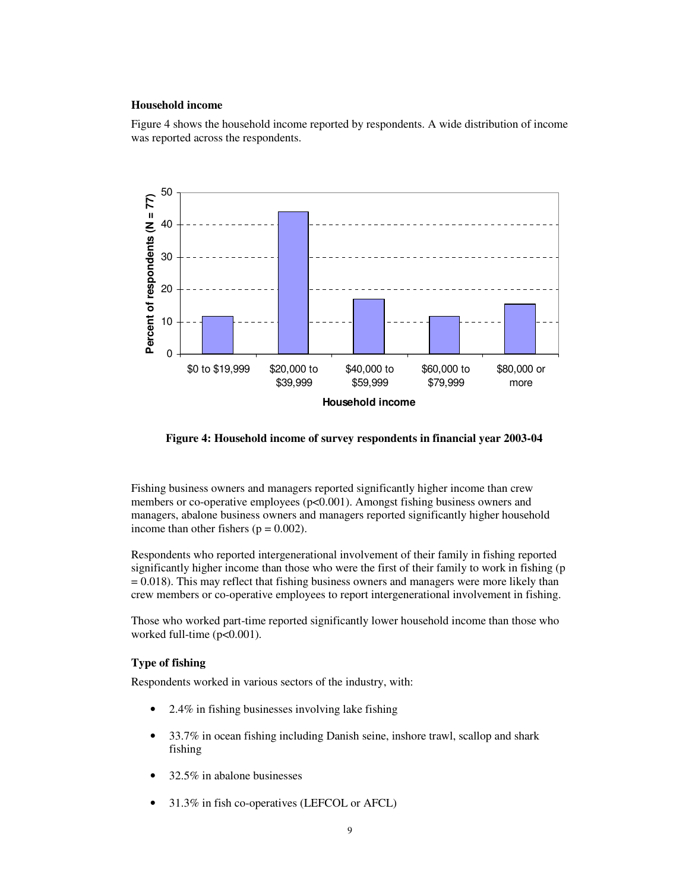## **Household income**

Figure 4 shows the household income reported by respondents. A wide distribution of income was reported across the respondents.



**Figure 4: Household income of survey respondents in financial year 2003-04**

Fishing business owners and managers reported significantly higher income than crew members or co-operative employees ( $p<0.001$ ). Amongst fishing business owners and managers, abalone business owners and managers reported significantly higher household income than other fishers ( $p = 0.002$ ).

Respondents who reported intergenerational involvement of their family in fishing reported significantly higher income than those who were the first of their family to work in fishing (p  $= 0.018$ ). This may reflect that fishing business owners and managers were more likely than crew members or co-operative employees to report intergenerational involvement in fishing.

Those who worked part-time reported significantly lower household income than those who worked full-time (p<0.001).

### **Type of fishing**

Respondents worked in various sectors of the industry, with:

- 2.4% in fishing businesses involving lake fishing
- 33.7% in ocean fishing including Danish seine, inshore trawl, scallop and shark fishing
- 32.5% in abalone businesses
- 31.3% in fish co-operatives (LEFCOL or AFCL)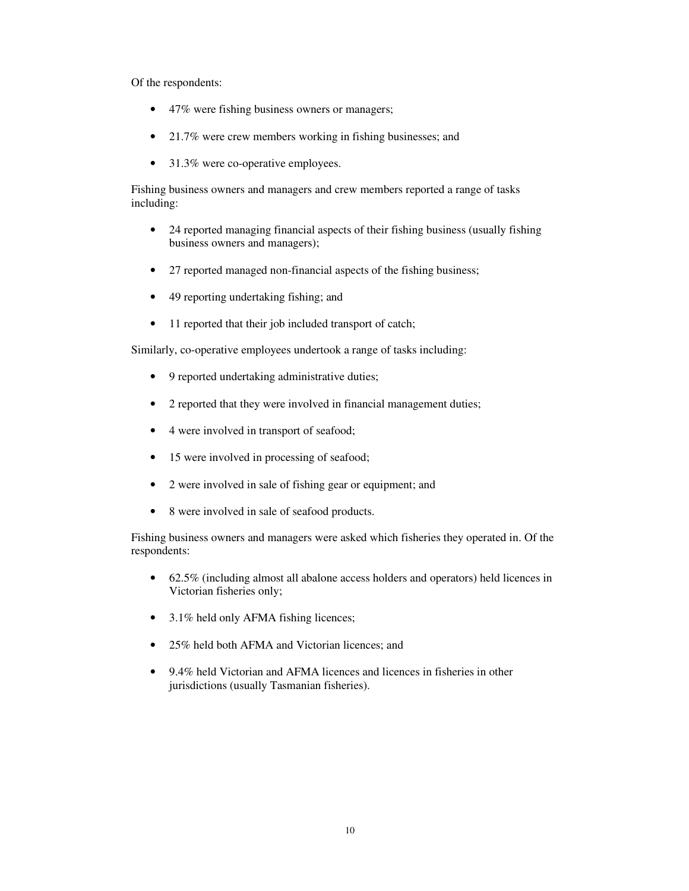Of the respondents:

- 47% were fishing business owners or managers;
- 21.7% were crew members working in fishing businesses; and
- 31.3% were co-operative employees.

Fishing business owners and managers and crew members reported a range of tasks including:

- 24 reported managing financial aspects of their fishing business (usually fishing business owners and managers);
- 27 reported managed non-financial aspects of the fishing business;
- 49 reporting undertaking fishing; and
- 11 reported that their job included transport of catch;

Similarly, co-operative employees undertook a range of tasks including:

- 9 reported undertaking administrative duties;
- 2 reported that they were involved in financial management duties;
- 4 were involved in transport of seafood;
- 15 were involved in processing of seafood;
- 2 were involved in sale of fishing gear or equipment; and
- 8 were involved in sale of seafood products.

Fishing business owners and managers were asked which fisheries they operated in. Of the respondents:

- 62.5% (including almost all abalone access holders and operators) held licences in Victorian fisheries only;
- 3.1% held only AFMA fishing licences;
- 25% held both AFMA and Victorian licences; and
- 9.4% held Victorian and AFMA licences and licences in fisheries in other jurisdictions (usually Tasmanian fisheries).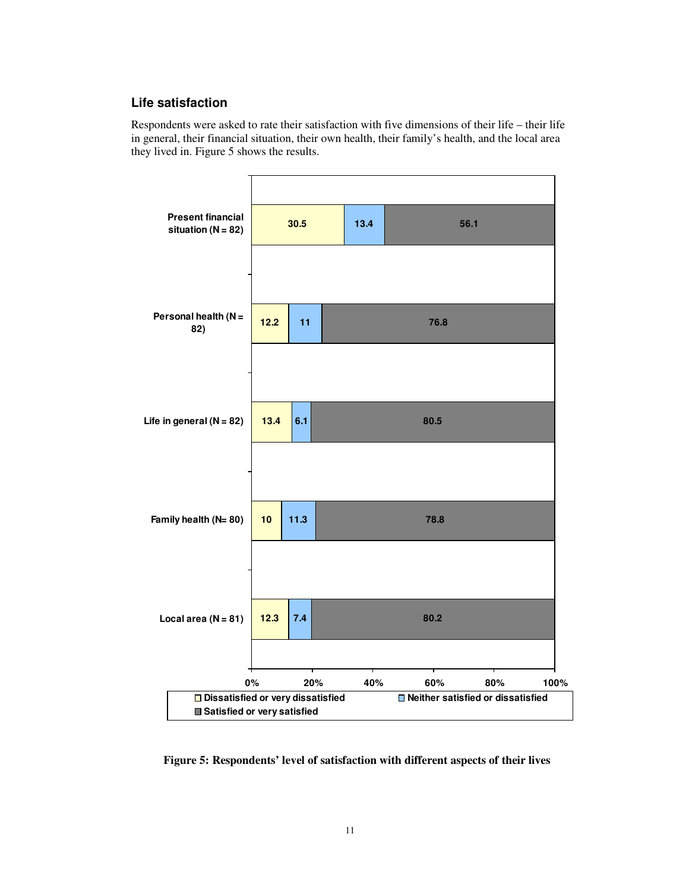## **Life satisfaction**

Respondents were asked to rate their satisfaction with five dimensions of their life – their life in general, their financial situation, their own health, their family's health, and the local area they lived in. Figure 5 shows the results.



**Figure 5: Respondents' level of satisfaction with different aspects of their lives**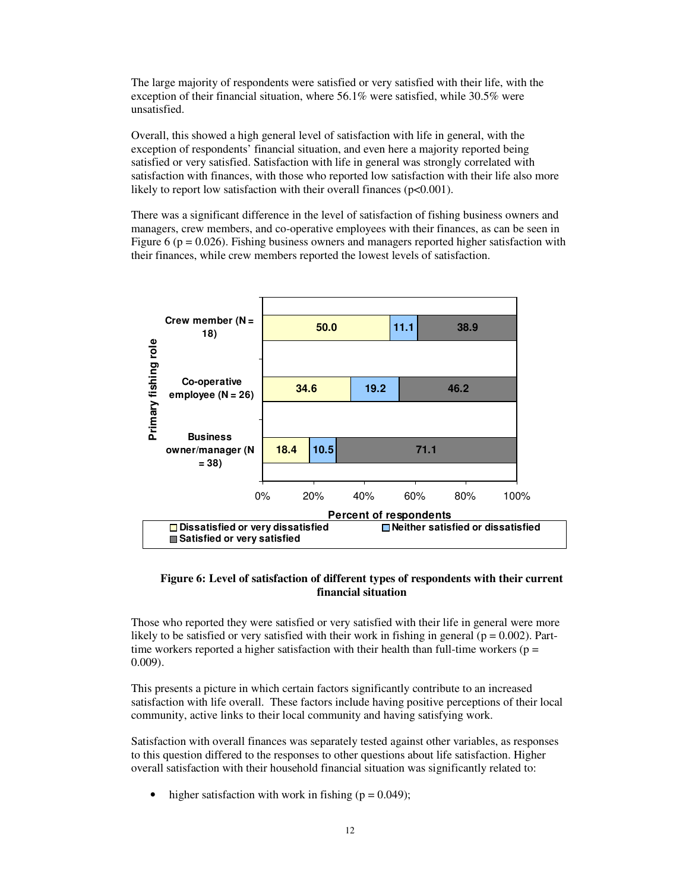The large majority of respondents were satisfied or very satisfied with their life, with the exception of their financial situation, where 56.1% were satisfied, while 30.5% were unsatisfied.

Overall, this showed a high general level of satisfaction with life in general, with the exception of respondents' financial situation, and even here a majority reported being satisfied or very satisfied. Satisfaction with life in general was strongly correlated with satisfaction with finances, with those who reported low satisfaction with their life also more likely to report low satisfaction with their overall finances ( $p<0.001$ ).

There was a significant difference in the level of satisfaction of fishing business owners and managers, crew members, and co-operative employees with their finances, as can be seen in Figure 6 ( $p = 0.026$ ). Fishing business owners and managers reported higher satisfaction with their finances, while crew members reported the lowest levels of satisfaction.



## **Figure 6: Level of satisfaction of different types of respondents with their current financial situation**

Those who reported they were satisfied or very satisfied with their life in general were more likely to be satisfied or very satisfied with their work in fishing in general ( $p = 0.002$ ). Parttime workers reported a higher satisfaction with their health than full-time workers ( $p =$ 0.009).

This presents a picture in which certain factors significantly contribute to an increased satisfaction with life overall. These factors include having positive perceptions of their local community, active links to their local community and having satisfying work.

Satisfaction with overall finances was separately tested against other variables, as responses to this question differed to the responses to other questions about life satisfaction. Higher overall satisfaction with their household financial situation was significantly related to:

• higher satisfaction with work in fishing  $(p = 0.049)$ ;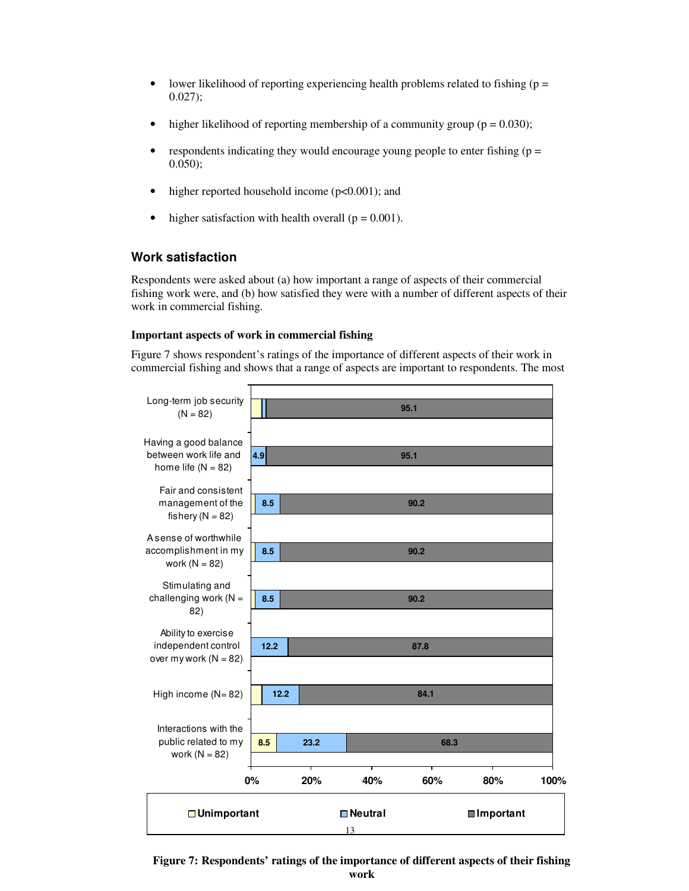- lower likelihood of reporting experiencing health problems related to fishing ( $p =$ 0.027);
- higher likelihood of reporting membership of a community group ( $p = 0.030$ );
- respondents indicating they would encourage young people to enter fishing  $(p =$ 0.050);
- higher reported household income ( $p<0.001$ ); and
- higher satisfaction with health overall  $(p = 0.001)$ .

## **Work satisfaction**

Respondents were asked about (a) how important a range of aspects of their commercial fishing work were, and (b) how satisfied they were with a number of different aspects of their work in commercial fishing.

### **Important aspects of work in commercial fishing**

Figure 7 shows respondent's ratings of the importance of different aspects of their work in commercial fishing and shows that a range of aspects are important to respondents. The most



**Figure 7: Respondents' ratings of the importance of different aspects of their fishing work**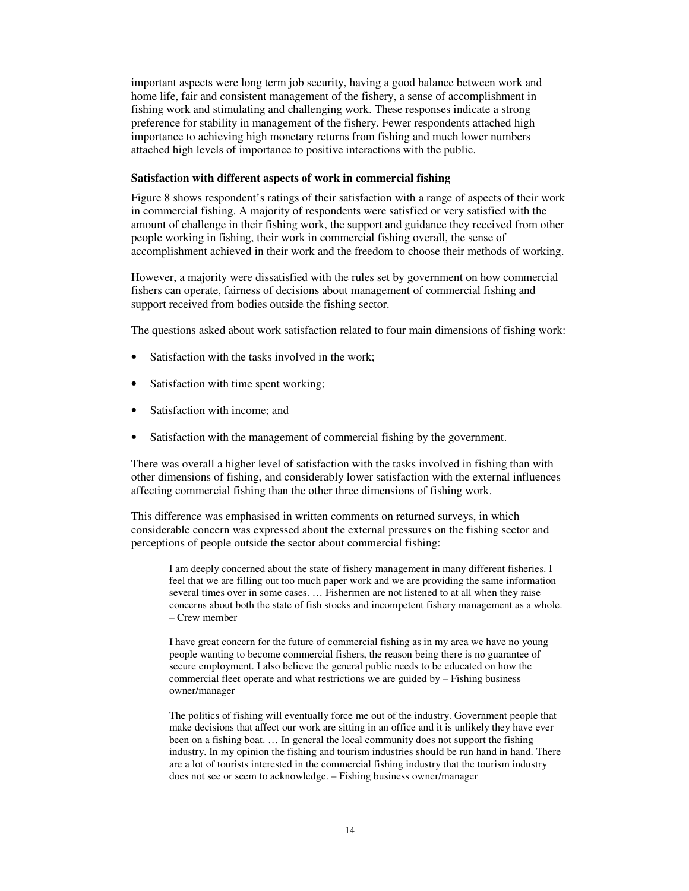important aspects were long term job security, having a good balance between work and home life, fair and consistent management of the fishery, a sense of accomplishment in fishing work and stimulating and challenging work. These responses indicate a strong preference for stability in management of the fishery. Fewer respondents attached high importance to achieving high monetary returns from fishing and much lower numbers attached high levels of importance to positive interactions with the public.

#### **Satisfaction with different aspects of work in commercial fishing**

Figure 8 shows respondent's ratings of their satisfaction with a range of aspects of their work in commercial fishing. A majority of respondents were satisfied or very satisfied with the amount of challenge in their fishing work, the support and guidance they received from other people working in fishing, their work in commercial fishing overall, the sense of accomplishment achieved in their work and the freedom to choose their methods of working.

However, a majority were dissatisfied with the rules set by government on how commercial fishers can operate, fairness of decisions about management of commercial fishing and support received from bodies outside the fishing sector.

The questions asked about work satisfaction related to four main dimensions of fishing work:

- Satisfaction with the tasks involved in the work;
- Satisfaction with time spent working;
- Satisfaction with income; and
- Satisfaction with the management of commercial fishing by the government.

There was overall a higher level of satisfaction with the tasks involved in fishing than with other dimensions of fishing, and considerably lower satisfaction with the external influences affecting commercial fishing than the other three dimensions of fishing work.

This difference was emphasised in written comments on returned surveys, in which considerable concern was expressed about the external pressures on the fishing sector and perceptions of people outside the sector about commercial fishing:

I am deeply concerned about the state of fishery management in many different fisheries. I feel that we are filling out too much paper work and we are providing the same information several times over in some cases. … Fishermen are not listened to at all when they raise concerns about both the state of fish stocks and incompetent fishery management as a whole. – Crew member

I have great concern for the future of commercial fishing as in my area we have no young people wanting to become commercial fishers, the reason being there is no guarantee of secure employment. I also believe the general public needs to be educated on how the commercial fleet operate and what restrictions we are guided by – Fishing business owner/manager

The politics of fishing will eventually force me out of the industry. Government people that make decisions that affect our work are sitting in an office and it is unlikely they have ever been on a fishing boat. … In general the local community does not support the fishing industry. In my opinion the fishing and tourism industries should be run hand in hand. There are a lot of tourists interested in the commercial fishing industry that the tourism industry does not see or seem to acknowledge. – Fishing business owner/manager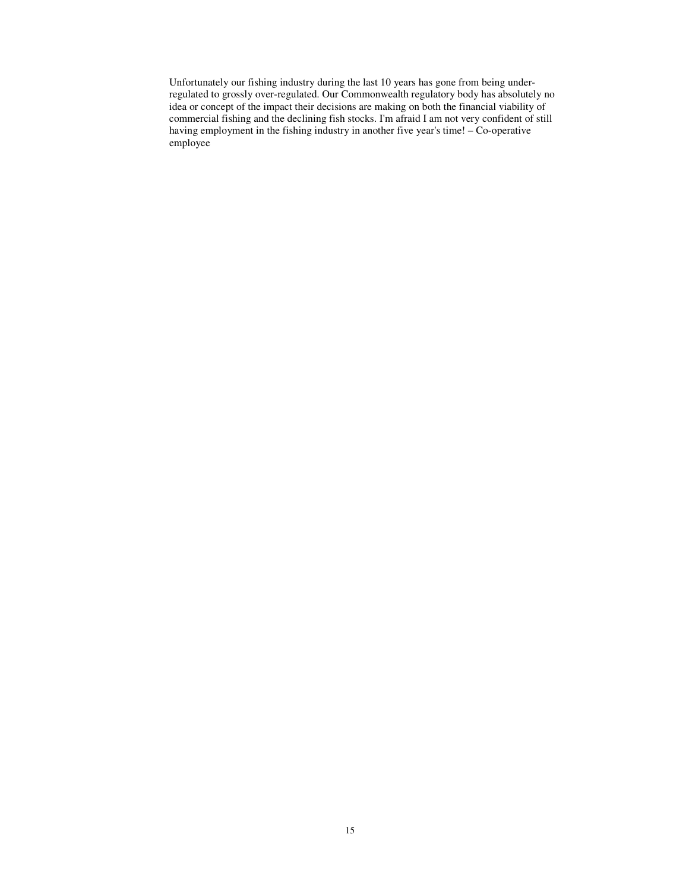Unfortunately our fishing industry during the last 10 years has gone from being underregulated to grossly over-regulated. Our Commonwealth regulatory body has absolutely no idea or concept of the impact their decisions are making on both the financial viability of commercial fishing and the declining fish stocks. I'm afraid I am not very confident of still having employment in the fishing industry in another five year's time! – Co-operative employee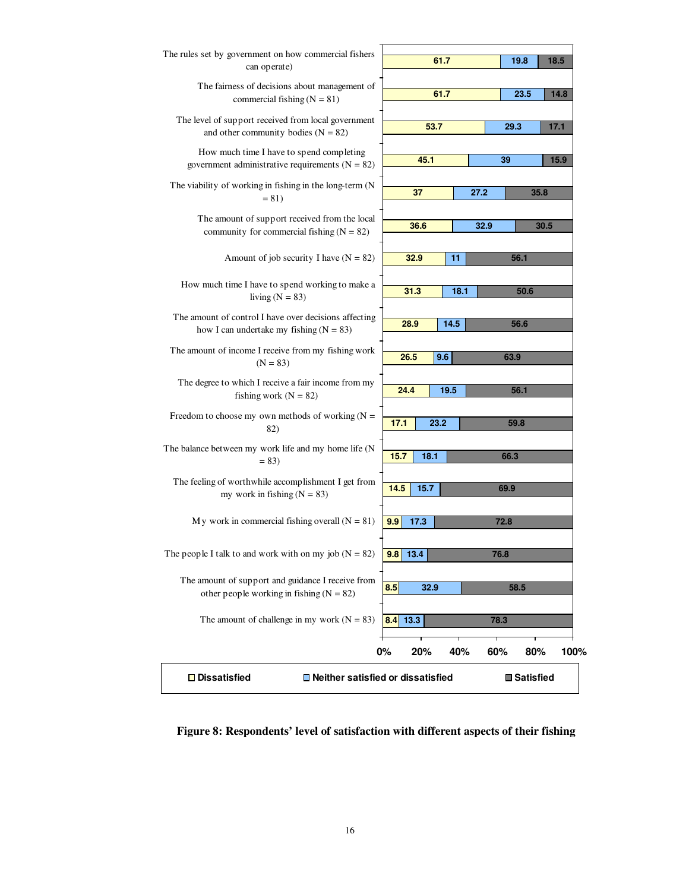

**Figure 8: Respondents' level of satisfaction with different aspects of their fishing**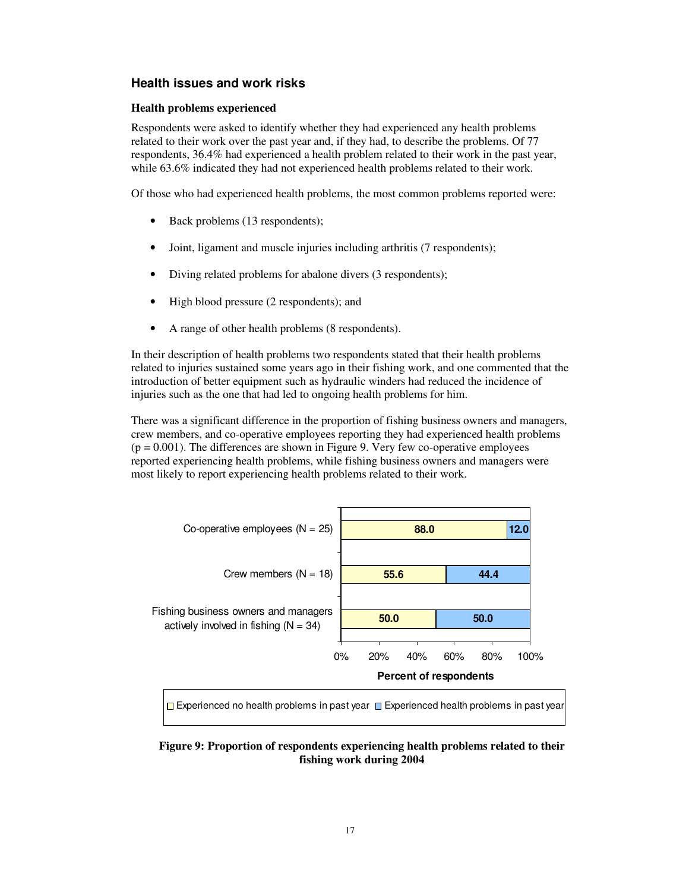## **Health issues and work risks**

## **Health problems experienced**

Respondents were asked to identify whether they had experienced any health problems related to their work over the past year and, if they had, to describe the problems. Of 77 respondents, 36.4% had experienced a health problem related to their work in the past year, while 63.6% indicated they had not experienced health problems related to their work.

Of those who had experienced health problems, the most common problems reported were:

- Back problems (13 respondents);
- Joint, ligament and muscle injuries including arthritis (7 respondents);
- Diving related problems for abalone divers (3 respondents);
- High blood pressure (2 respondents); and
- A range of other health problems (8 respondents).

In their description of health problems two respondents stated that their health problems related to injuries sustained some years ago in their fishing work, and one commented that the introduction of better equipment such as hydraulic winders had reduced the incidence of injuries such as the one that had led to ongoing health problems for him.

There was a significant difference in the proportion of fishing business owners and managers, crew members, and co-operative employees reporting they had experienced health problems  $(p = 0.001)$ . The differences are shown in Figure 9. Very few co-operative employees reported experiencing health problems, while fishing business owners and managers were most likely to report experiencing health problems related to their work.



## **Figure 9: Proportion of respondents experiencing health problems related to their fishing work during 2004**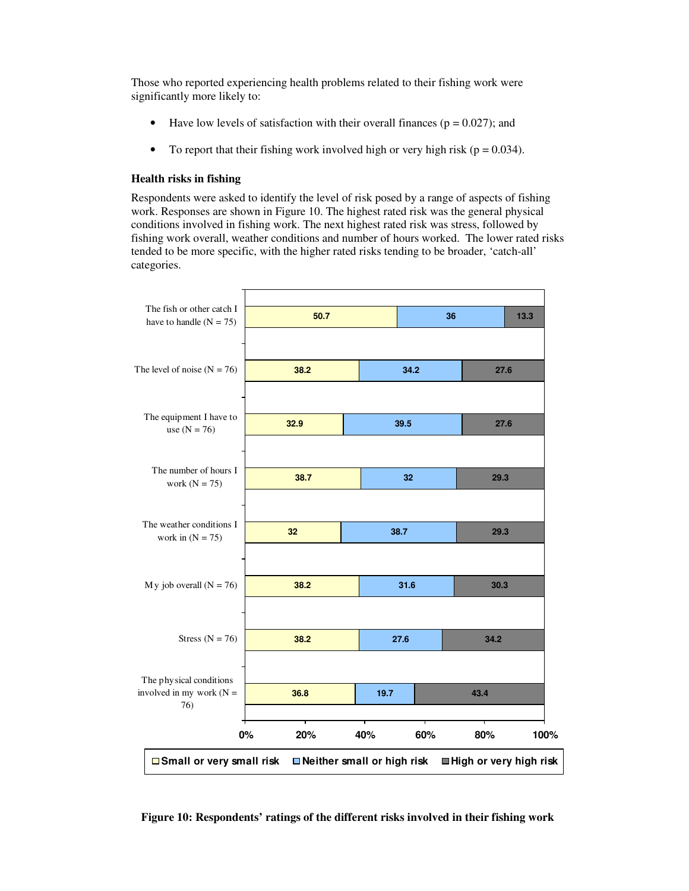Those who reported experiencing health problems related to their fishing work were significantly more likely to:

- Have low levels of satisfaction with their overall finances ( $p = 0.027$ ); and
- To report that their fishing work involved high or very high risk ( $p = 0.034$ ).

#### **Health risks in fishing**

Respondents were asked to identify the level of risk posed by a range of aspects of fishing work. Responses are shown in Figure 10. The highest rated risk was the general physical conditions involved in fishing work. The next highest rated risk was stress, followed by fishing work overall, weather conditions and number of hours worked. The lower rated risks tended to be more specific, with the higher rated risks tending to be broader, 'catch-all' categories.



**Figure 10: Respondents' ratings of the different risks involved in their fishing work**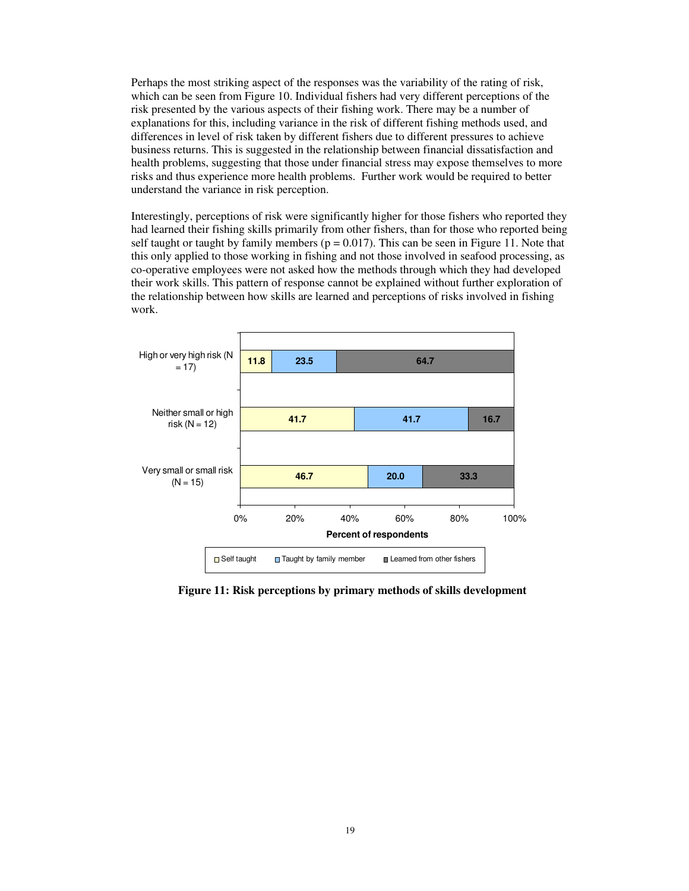Perhaps the most striking aspect of the responses was the variability of the rating of risk, which can be seen from Figure 10. Individual fishers had very different perceptions of the risk presented by the various aspects of their fishing work. There may be a number of explanations for this, including variance in the risk of different fishing methods used, and differences in level of risk taken by different fishers due to different pressures to achieve business returns. This is suggested in the relationship between financial dissatisfaction and health problems, suggesting that those under financial stress may expose themselves to more risks and thus experience more health problems. Further work would be required to better understand the variance in risk perception.

Interestingly, perceptions of risk were significantly higher for those fishers who reported they had learned their fishing skills primarily from other fishers, than for those who reported being self taught or taught by family members ( $p = 0.017$ ). This can be seen in Figure 11. Note that this only applied to those working in fishing and not those involved in seafood processing, as co-operative employees were not asked how the methods through which they had developed their work skills. This pattern of response cannot be explained without further exploration of the relationship between how skills are learned and perceptions of risks involved in fishing work.



**Figure 11: Risk perceptions by primary methods of skills development**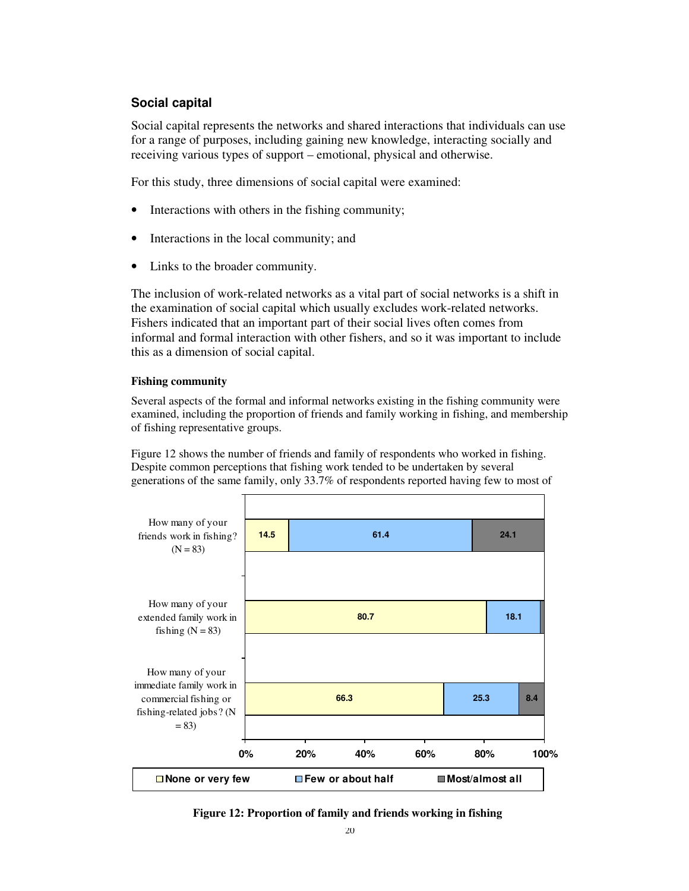## **Social capital**

Social capital represents the networks and shared interactions that individuals can use for a range of purposes, including gaining new knowledge, interacting socially and receiving various types of support – emotional, physical and otherwise.

For this study, three dimensions of social capital were examined:

- Interactions with others in the fishing community;
- Interactions in the local community; and
- Links to the broader community.

The inclusion of work-related networks as a vital part of social networks is a shift in the examination of social capital which usually excludes work-related networks. Fishers indicated that an important part of their social lives often comes from informal and formal interaction with other fishers, and so it was important to include this as a dimension of social capital.

## **Fishing community**

Several aspects of the formal and informal networks existing in the fishing community were examined, including the proportion of friends and family working in fishing, and membership of fishing representative groups.

Figure 12 shows the number of friends and family of respondents who worked in fishing. Despite common perceptions that fishing work tended to be undertaken by several generations of the same family, only 33.7% of respondents reported having few to most of



**Figure 12: Proportion of family and friends working in fishing**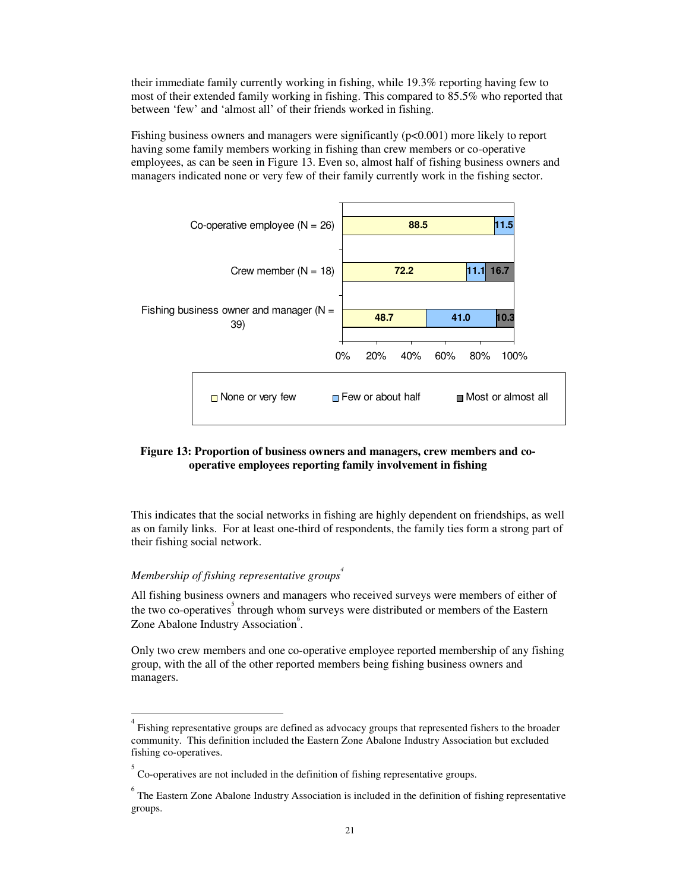their immediate family currently working in fishing, while 19.3% reporting having few to most of their extended family working in fishing. This compared to 85.5% who reported that between 'few' and 'almost all' of their friends worked in fishing.

Fishing business owners and managers were significantly ( $p<0.001$ ) more likely to report having some family members working in fishing than crew members or co-operative employees, as can be seen in Figure 13. Even so, almost half of fishing business owners and managers indicated none or very few of their family currently work in the fishing sector.



## **Figure 13: Proportion of business owners and managers, crew members and cooperative employees reporting family involvement in fishing**

This indicates that the social networks in fishing are highly dependent on friendships, as well as on family links. For at least one-third of respondents, the family ties form a strong part of their fishing social network.

## *Membership of fishing representative groups 4*

All fishing business owners and managers who received surveys were members of either of the two co-operatives<sup>5</sup> through whom surveys were distributed or members of the Eastern Zone Abalone Industry Association<sup>6</sup>.

Only two crew members and one co-operative employee reported membership of any fishing group, with the all of the other reported members being fishing business owners and managers.

<sup>&</sup>lt;sup>4</sup> Fishing representative groups are defined as advocacy groups that represented fishers to the broader community. This definition included the Eastern Zone Abalone Industry Association but excluded fishing co-operatives.

 $5^{\circ}$  Co-operatives are not included in the definition of fishing representative groups.

<sup>&</sup>lt;sup>6</sup> The Eastern Zone Abalone Industry Association is included in the definition of fishing representative groups.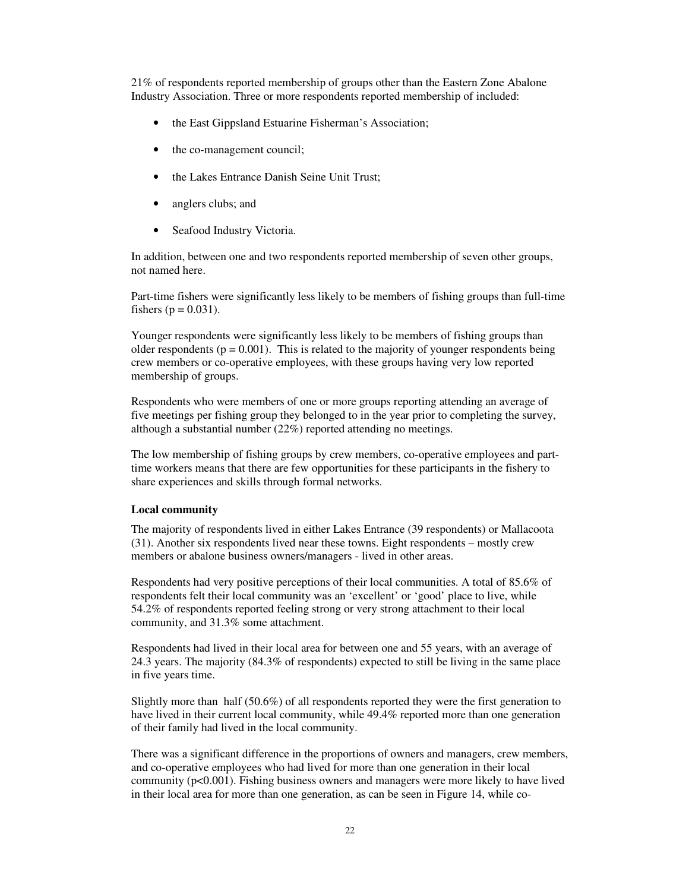21% of respondents reported membership of groups other than the Eastern Zone Abalone Industry Association. Three or more respondents reported membership of included:

- the East Gippsland Estuarine Fisherman's Association;
- the co-management council;
- the Lakes Entrance Danish Seine Unit Trust;
- anglers clubs; and
- Seafood Industry Victoria.

In addition, between one and two respondents reported membership of seven other groups, not named here.

Part-time fishers were significantly less likely to be members of fishing groups than full-time fishers ( $p = 0.031$ ).

Younger respondents were significantly less likely to be members of fishing groups than older respondents ( $p = 0.001$ ). This is related to the majority of younger respondents being crew members or co-operative employees, with these groups having very low reported membership of groups.

Respondents who were members of one or more groups reporting attending an average of five meetings per fishing group they belonged to in the year prior to completing the survey, although a substantial number (22%) reported attending no meetings.

The low membership of fishing groups by crew members, co-operative employees and parttime workers means that there are few opportunities for these participants in the fishery to share experiences and skills through formal networks.

#### **Local community**

The majority of respondents lived in either Lakes Entrance (39 respondents) or Mallacoota (31). Another six respondents lived near these towns. Eight respondents – mostly crew members or abalone business owners/managers - lived in other areas.

Respondents had very positive perceptions of their local communities. A total of 85.6% of respondents felt their local community was an 'excellent' or 'good' place to live, while 54.2% of respondents reported feeling strong or very strong attachment to their local community, and 31.3% some attachment.

Respondents had lived in their local area for between one and 55 years, with an average of 24.3 years. The majority (84.3% of respondents) expected to still be living in the same place in five years time.

Slightly more than half (50.6%) of all respondents reported they were the first generation to have lived in their current local community, while 49.4% reported more than one generation of their family had lived in the local community.

There was a significant difference in the proportions of owners and managers, crew members, and co-operative employees who had lived for more than one generation in their local community ( $p<0.001$ ). Fishing business owners and managers were more likely to have lived in their local area for more than one generation, as can be seen in Figure 14, while co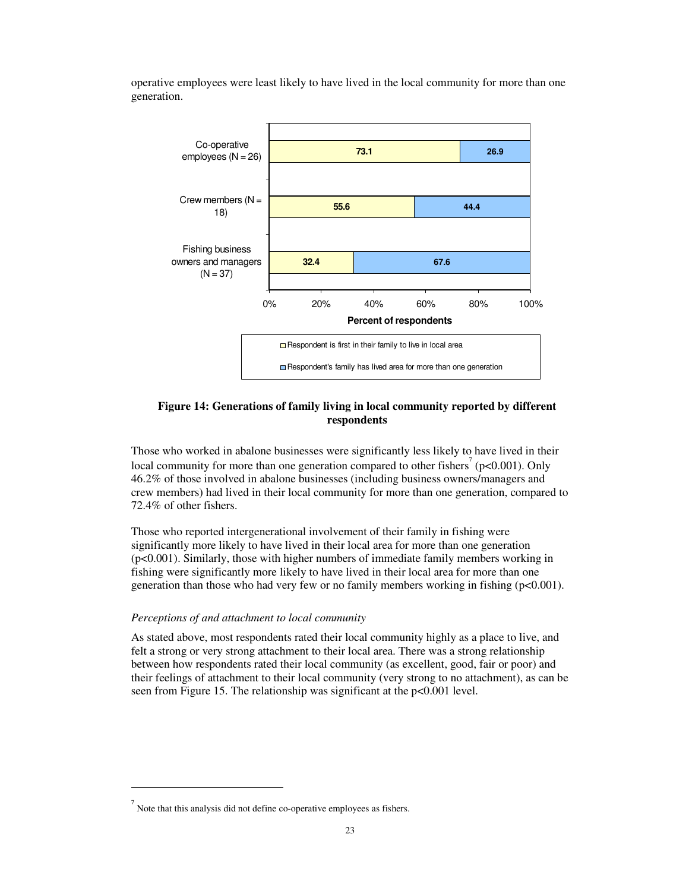operative employees were least likely to have lived in the local community for more than one generation.



## **Figure 14: Generations of family living in local community reported by different respondents**

Those who worked in abalone businesses were significantly less likely to have lived in their local community for more than one generation compared to other fishers<sup>7</sup> ( $p<0.001$ ). Only 46.2% of those involved in abalone businesses (including business owners/managers and crew members) had lived in their local community for more than one generation, compared to 72.4% of other fishers.

Those who reported intergenerational involvement of their family in fishing were significantly more likely to have lived in their local area for more than one generation (p<0.001). Similarly, those with higher numbers of immediate family members working in fishing were significantly more likely to have lived in their local area for more than one generation than those who had very few or no family members working in fishing ( $p<0.001$ ).

### *Perceptions of and attachment to local community*

As stated above, most respondents rated their local community highly as a place to live, and felt a strong or very strong attachment to their local area. There was a strong relationship between how respondents rated their local community (as excellent, good, fair or poor) and their feelings of attachment to their local community (very strong to no attachment), as can be seen from Figure 15. The relationship was significant at the p<0.001 level.

 $\sigma$  Note that this analysis did not define co-operative employees as fishers.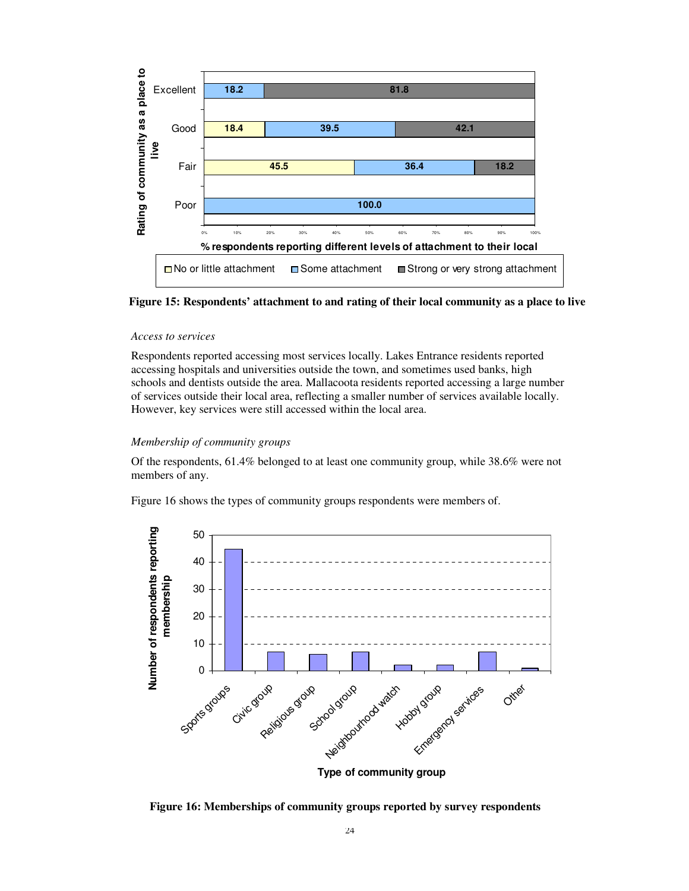



#### *Access to services*

Respondents reported accessing most services locally. Lakes Entrance residents reported accessing hospitals and universities outside the town, and sometimes used banks, high schools and dentists outside the area. Mallacoota residents reported accessing a large number of services outside their local area, reflecting a smaller number of services available locally. However, key services were still accessed within the local area.

#### *Membership of community groups*

Of the respondents, 61.4% belonged to at least one community group, while 38.6% were not members of any.

Figure 16 shows the types of community groups respondents were members of.



**Type of community group**

**Figure 16: Memberships of community groups reported by survey respondents**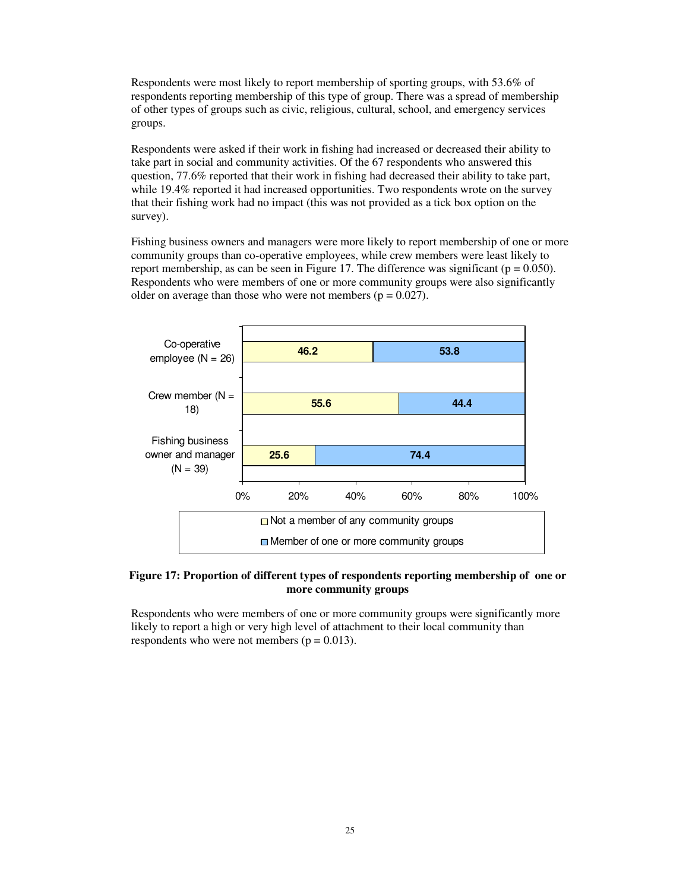Respondents were most likely to report membership of sporting groups, with 53.6% of respondents reporting membership of this type of group. There was a spread of membership of other types of groups such as civic, religious, cultural, school, and emergency services groups.

Respondents were asked if their work in fishing had increased or decreased their ability to take part in social and community activities. Of the 67 respondents who answered this question, 77.6% reported that their work in fishing had decreased their ability to take part, while 19.4% reported it had increased opportunities. Two respondents wrote on the survey that their fishing work had no impact (this was not provided as a tick box option on the survey).

Fishing business owners and managers were more likely to report membership of one or more community groups than co-operative employees, while crew members were least likely to report membership, as can be seen in Figure 17. The difference was significant ( $p = 0.050$ ). Respondents who were members of one or more community groups were also significantly older on average than those who were not members ( $p = 0.027$ ).



## **Figure 17: Proportion of different types of respondents reporting membership of one or more community groups**

Respondents who were members of one or more community groups were significantly more likely to report a high or very high level of attachment to their local community than respondents who were not members ( $p = 0.013$ ).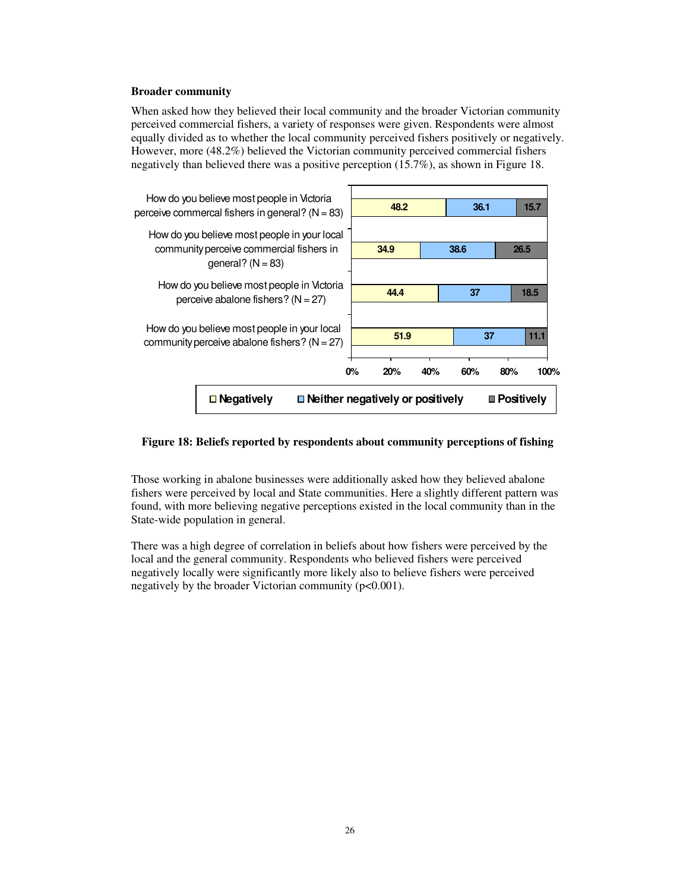#### **Broader community**

When asked how they believed their local community and the broader Victorian community perceived commercial fishers, a variety of responses were given. Respondents were almost equally divided as to whether the local community perceived fishers positively or negatively. However, more (48.2%) believed the Victorian community perceived commercial fishers negatively than believed there was a positive perception (15.7%), as shown in Figure 18.



### **Figure 18: Beliefs reported by respondents about community perceptions of fishing**

Those working in abalone businesses were additionally asked how they believed abalone fishers were perceived by local and State communities. Here a slightly different pattern was found, with more believing negative perceptions existed in the local community than in the State-wide population in general.

There was a high degree of correlation in beliefs about how fishers were perceived by the local and the general community. Respondents who believed fishers were perceived negatively locally were significantly more likely also to believe fishers were perceived negatively by the broader Victorian community ( $p<0.001$ ).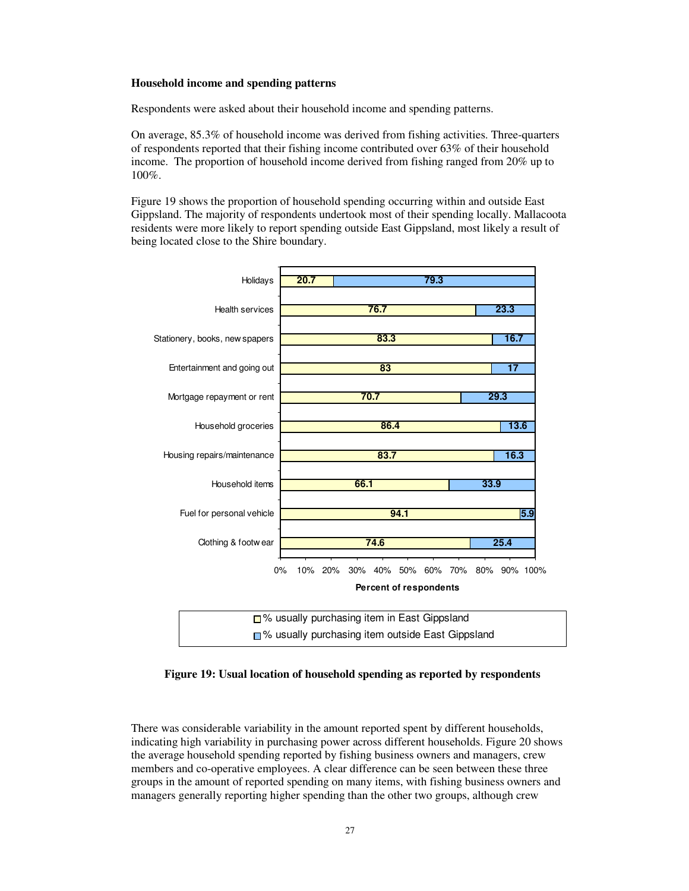#### **Household income and spending patterns**

Respondents were asked about their household income and spending patterns.

On average, 85.3% of household income was derived from fishing activities. Three-quarters of respondents reported that their fishing income contributed over 63% of their household income. The proportion of household income derived from fishing ranged from 20% up to 100%.

Figure 19 shows the proportion of household spending occurring within and outside East Gippsland. The majority of respondents undertook most of their spending locally. Mallacoota residents were more likely to report spending outside East Gippsland, most likely a result of being located close to the Shire boundary.



## **Figure 19: Usual location of household spending as reported by respondents**

There was considerable variability in the amount reported spent by different households, indicating high variability in purchasing power across different households. Figure 20 shows the average household spending reported by fishing business owners and managers, crew members and co-operative employees. A clear difference can be seen between these three groups in the amount of reported spending on many items, with fishing business owners and managers generally reporting higher spending than the other two groups, although crew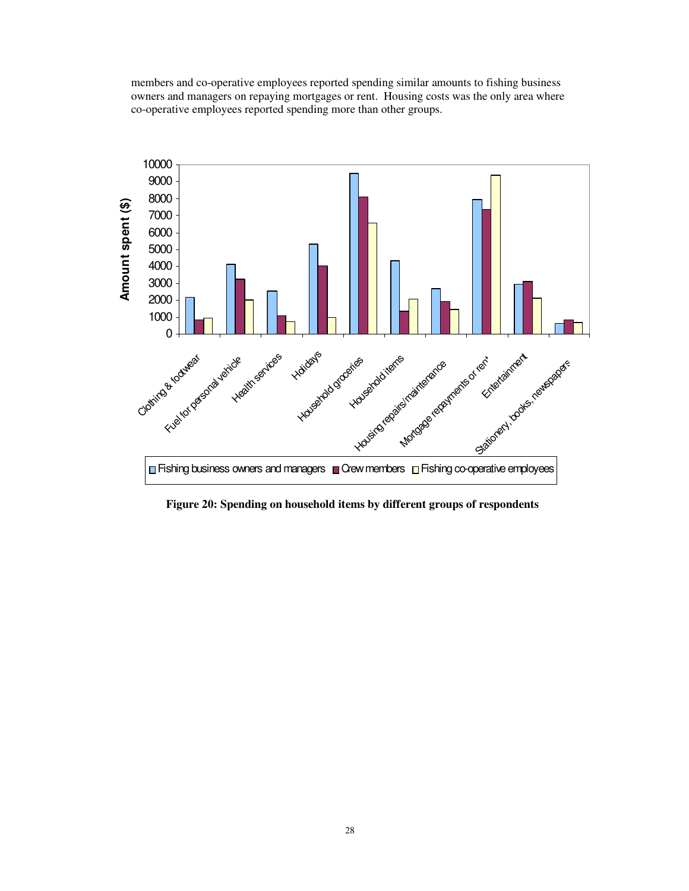members and co-operative employees reported spending similar amounts to fishing business owners and managers on repaying mortgages or rent. Housing costs was the only area where co-operative employees reported spending more than other groups.



**Figure 20: Spending on household items by different groups of respondents**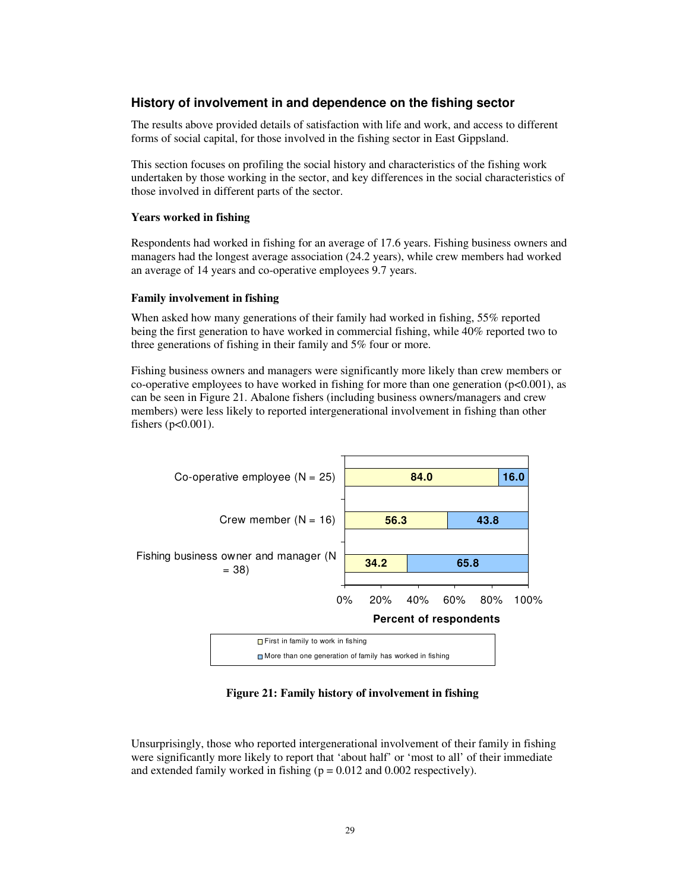## **History of involvement in and dependence on the fishing sector**

The results above provided details of satisfaction with life and work, and access to different forms of social capital, for those involved in the fishing sector in East Gippsland.

This section focuses on profiling the social history and characteristics of the fishing work undertaken by those working in the sector, and key differences in the social characteristics of those involved in different parts of the sector.

#### **Years worked in fishing**

Respondents had worked in fishing for an average of 17.6 years. Fishing business owners and managers had the longest average association (24.2 years), while crew members had worked an average of 14 years and co-operative employees 9.7 years.

#### **Family involvement in fishing**

When asked how many generations of their family had worked in fishing, 55% reported being the first generation to have worked in commercial fishing, while 40% reported two to three generations of fishing in their family and 5% four or more.

Fishing business owners and managers were significantly more likely than crew members or co-operative employees to have worked in fishing for more than one generation ( $p<0.001$ ), as can be seen in Figure 21. Abalone fishers (including business owners/managers and crew members) were less likely to reported intergenerational involvement in fishing than other fishers  $(p<0.001)$ .



**Figure 21: Family history of involvement in fishing**

Unsurprisingly, those who reported intergenerational involvement of their family in fishing were significantly more likely to report that 'about half' or 'most to all' of their immediate and extended family worked in fishing  $(p = 0.012$  and 0.002 respectively).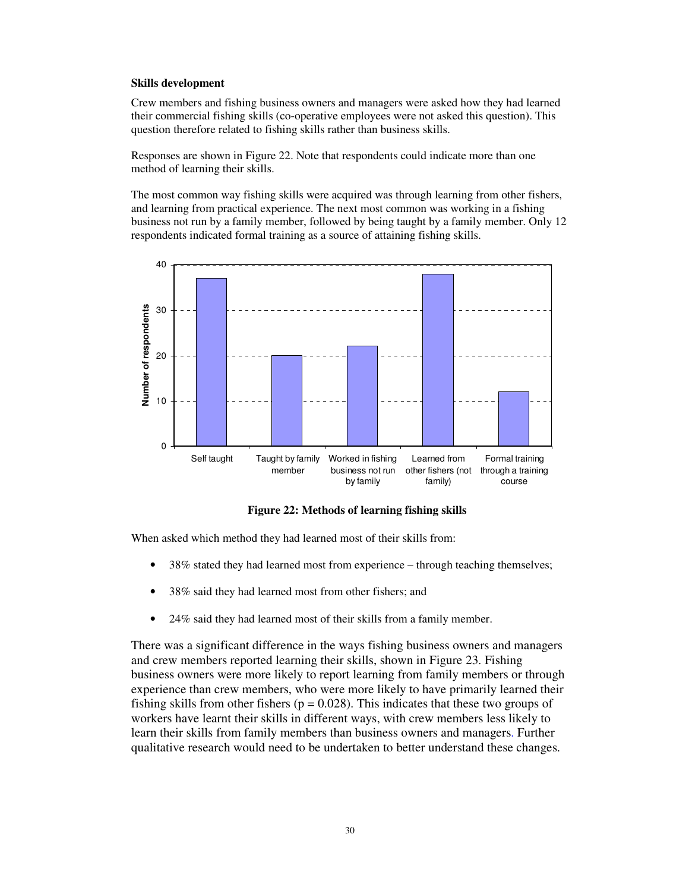#### **Skills development**

Crew members and fishing business owners and managers were asked how they had learned their commercial fishing skills (co-operative employees were not asked this question). This question therefore related to fishing skills rather than business skills.

Responses are shown in Figure 22. Note that respondents could indicate more than one method of learning their skills.

The most common way fishing skills were acquired was through learning from other fishers, and learning from practical experience. The next most common was working in a fishing business not run by a family member, followed by being taught by a family member. Only 12 respondents indicated formal training as a source of attaining fishing skills.



**Figure 22: Methods of learning fishing skills**

When asked which method they had learned most of their skills from:

- 38% stated they had learned most from experience through teaching themselves;
- 38% said they had learned most from other fishers; and
- 24% said they had learned most of their skills from a family member.

There was a significant difference in the ways fishing business owners and managers and crew members reported learning their skills, shown in Figure 23. Fishing business owners were more likely to report learning from family members or through experience than crew members, who were more likely to have primarily learned their fishing skills from other fishers ( $p = 0.028$ ). This indicates that these two groups of workers have learnt their skills in different ways, with crew members less likely to learn their skills from family members than business owners and managers. Further qualitative research would need to be undertaken to better understand these changes.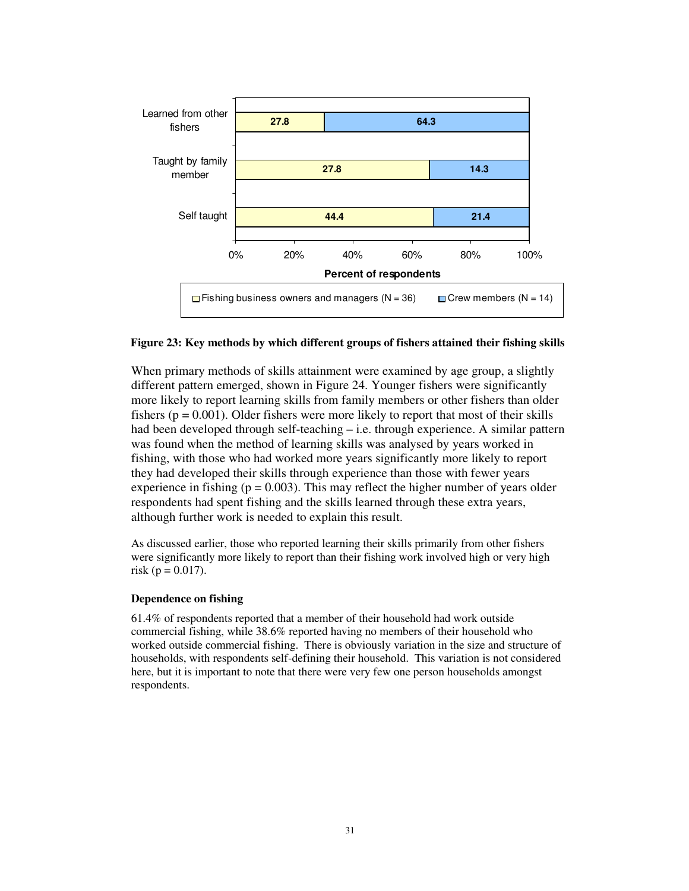

### **Figure 23: Key methods by which different groups of fishers attained their fishing skills**

When primary methods of skills attainment were examined by age group, a slightly different pattern emerged, shown in Figure 24. Younger fishers were significantly more likely to report learning skills from family members or other fishers than older fishers ( $p = 0.001$ ). Older fishers were more likely to report that most of their skills had been developed through self-teaching – i.e. through experience. A similar pattern was found when the method of learning skills was analysed by years worked in fishing, with those who had worked more years significantly more likely to report they had developed their skills through experience than those with fewer years experience in fishing ( $p = 0.003$ ). This may reflect the higher number of years older respondents had spent fishing and the skills learned through these extra years, although further work is needed to explain this result.

As discussed earlier, those who reported learning their skills primarily from other fishers were significantly more likely to report than their fishing work involved high or very high risk (p =  $0.017$ ).

#### **Dependence on fishing**

61.4% of respondents reported that a member of their household had work outside commercial fishing, while 38.6% reported having no members of their household who worked outside commercial fishing. There is obviously variation in the size and structure of households, with respondents self-defining their household. This variation is not considered here, but it is important to note that there were very few one person households amongst respondents.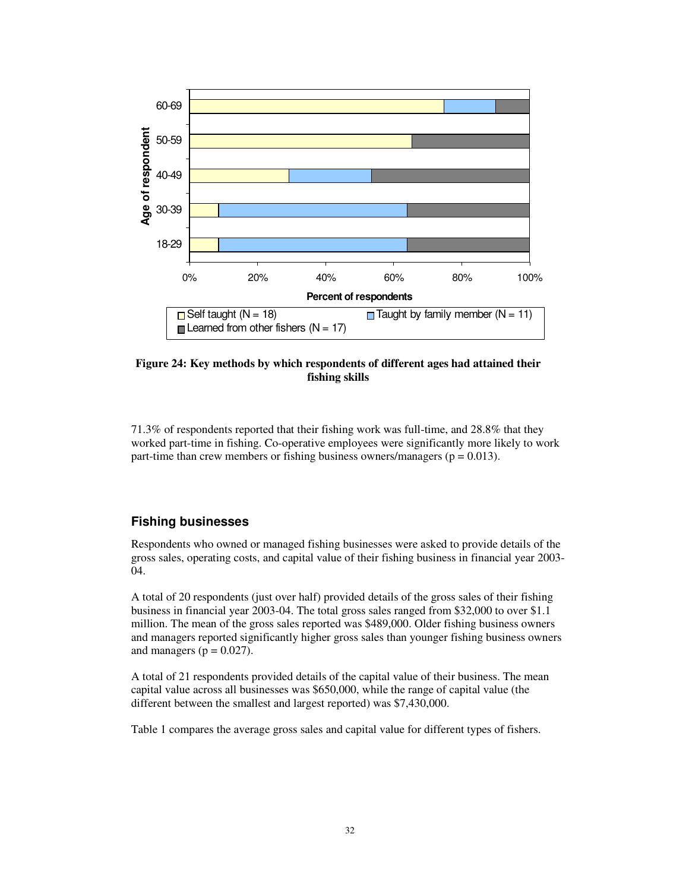

## **Figure 24: Key methods by which respondents of different ages had attained their fishing skills**

71.3% of respondents reported that their fishing work was full-time, and 28.8% that they worked part-time in fishing. Co-operative employees were significantly more likely to work part-time than crew members or fishing business owners/managers ( $p = 0.013$ ).

## **Fishing businesses**

Respondents who owned or managed fishing businesses were asked to provide details of the gross sales, operating costs, and capital value of their fishing business in financial year 2003- 04.

A total of 20 respondents (just over half) provided details of the gross sales of their fishing business in financial year 2003-04. The total gross sales ranged from \$32,000 to over \$1.1 million. The mean of the gross sales reported was \$489,000. Older fishing business owners and managers reported significantly higher gross sales than younger fishing business owners and managers ( $p = 0.027$ ).

A total of 21 respondents provided details of the capital value of their business. The mean capital value across all businesses was \$650,000, while the range of capital value (the different between the smallest and largest reported) was \$7,430,000.

Table 1 compares the average gross sales and capital value for different types of fishers.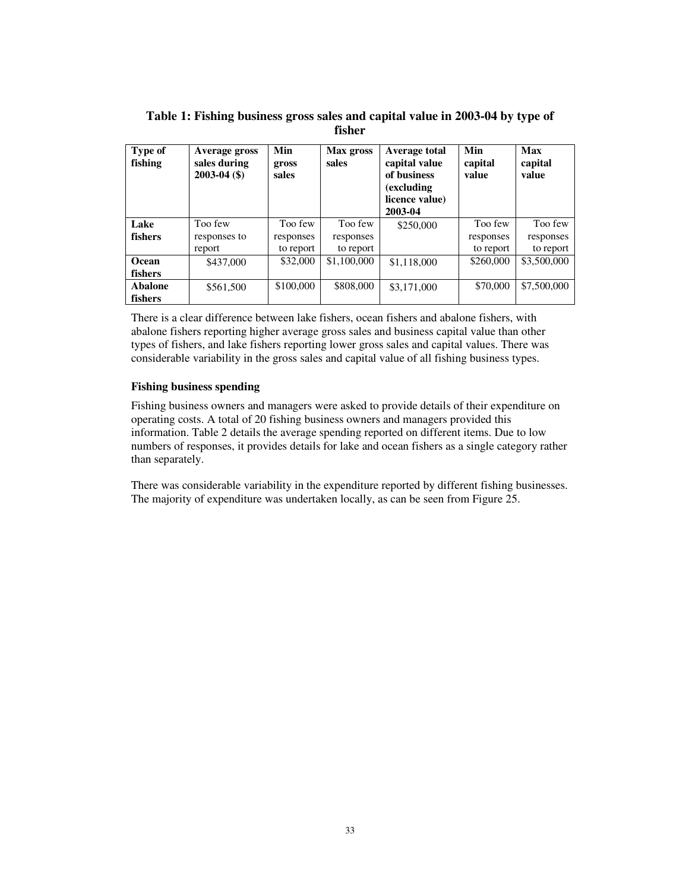| Type of<br>fishing | Average gross<br>sales during<br>$2003 - 04$ (\$) | Min<br>gross<br>sales | Max gross<br>sales | Average total<br>capital value<br>of business<br>(excluding)<br>licence value)<br>2003-04 | Min<br>capital<br>value | Max<br>capital<br>value |
|--------------------|---------------------------------------------------|-----------------------|--------------------|-------------------------------------------------------------------------------------------|-------------------------|-------------------------|
| Lake               | Too few                                           | Too few               | Too few            | \$250,000                                                                                 | Too few                 | Too few                 |
| fishers            | responses to                                      | responses             | responses          |                                                                                           | responses               | responses               |
|                    | report                                            | to report             | to report          |                                                                                           | to report               | to report               |
| Ocean              | \$437,000                                         | \$32,000              | \$1,100,000        | \$1,118,000                                                                               | \$260,000               | \$3,500,000             |
| fishers            |                                                   |                       |                    |                                                                                           |                         |                         |
| <b>Abalone</b>     | \$561,500                                         | \$100,000             | \$808,000          | \$3,171,000                                                                               | \$70,000                | \$7,500,000             |
| fishers            |                                                   |                       |                    |                                                                                           |                         |                         |

**Table 1: Fishing business gross sales and capital value in 2003-04 by type of fisher**

There is a clear difference between lake fishers, ocean fishers and abalone fishers, with abalone fishers reporting higher average gross sales and business capital value than other types of fishers, and lake fishers reporting lower gross sales and capital values. There was considerable variability in the gross sales and capital value of all fishing business types.

### **Fishing business spending**

Fishing business owners and managers were asked to provide details of their expenditure on operating costs. A total of 20 fishing business owners and managers provided this information. Table 2 details the average spending reported on different items. Due to low numbers of responses, it provides details for lake and ocean fishers as a single category rather than separately.

There was considerable variability in the expenditure reported by different fishing businesses. The majority of expenditure was undertaken locally, as can be seen from Figure 25.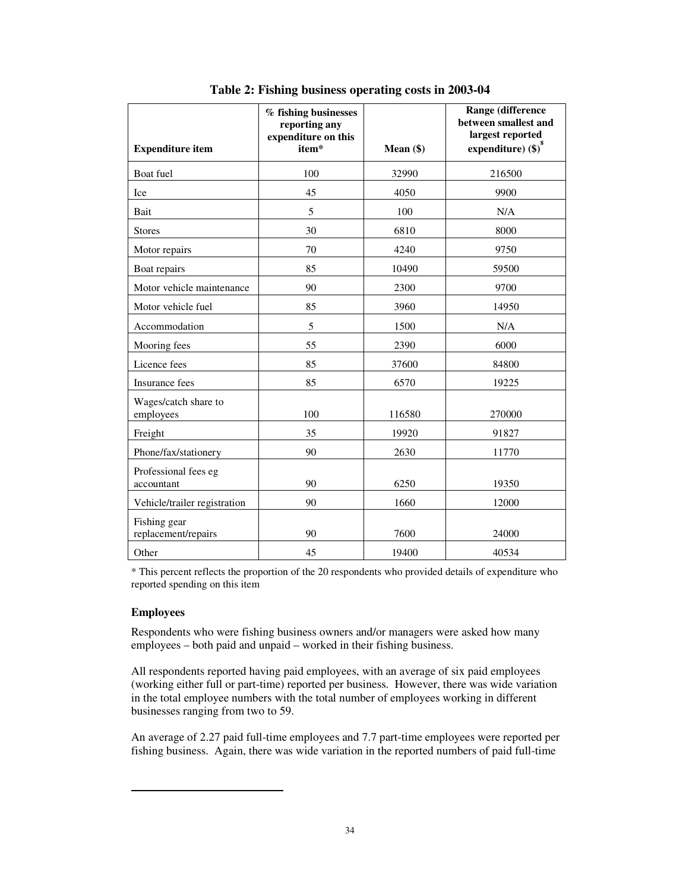| <b>Expenditure item</b>             | % fishing businesses<br>reporting any<br>expenditure on this<br>item* | Mean $(\$)$ | Range (difference<br>between smallest and<br>largest reported<br>expenditure) $(\$)^{\circ}$ |
|-------------------------------------|-----------------------------------------------------------------------|-------------|----------------------------------------------------------------------------------------------|
| Boat fuel                           | 100                                                                   | 32990       | 216500                                                                                       |
| Ice                                 | 45                                                                    | 4050        | 9900                                                                                         |
| Bait                                | 5                                                                     | 100         | N/A                                                                                          |
| <b>Stores</b>                       | 30                                                                    | 6810        | 8000                                                                                         |
| Motor repairs                       | 70                                                                    | 4240        | 9750                                                                                         |
| Boat repairs                        | 85                                                                    | 10490       | 59500                                                                                        |
| Motor vehicle maintenance           | 90                                                                    | 2300        | 9700                                                                                         |
| Motor vehicle fuel                  | 85                                                                    | 3960        | 14950                                                                                        |
| Accommodation                       | 5                                                                     | 1500        | N/A                                                                                          |
| Mooring fees                        | 55                                                                    | 2390        | 6000                                                                                         |
| Licence fees                        | 85                                                                    | 37600       | 84800                                                                                        |
| <b>Insurance</b> fees               | 85                                                                    | 6570        | 19225                                                                                        |
| Wages/catch share to<br>employees   | 100                                                                   | 116580      | 270000                                                                                       |
| Freight                             | 35                                                                    | 19920       | 91827                                                                                        |
| Phone/fax/stationery                | 90                                                                    | 2630        | 11770                                                                                        |
| Professional fees eg<br>accountant  | 90                                                                    | 6250        | 19350                                                                                        |
| Vehicle/trailer registration        | 90                                                                    | 1660        | 12000                                                                                        |
| Fishing gear<br>replacement/repairs | 90                                                                    | 7600        | 24000                                                                                        |
| Other                               | 45                                                                    | 19400       | 40534                                                                                        |

**Table 2: Fishing business operating costs in 2003-04**

\* This percent reflects the proportion of the 20 respondents who provided details of expenditure who reported spending on this item

## **Employees**

Respondents who were fishing business owners and/or managers were asked how many employees – both paid and unpaid – worked in their fishing business.

All respondents reported having paid employees, with an average of six paid employees (working either full or part-time) reported per business. However, there was wide variation in the total employee numbers with the total number of employees working in different businesses ranging from two to 59.

An average of 2.27 paid full-time employees and 7.7 part-time employees were reported per fishing business. Again, there was wide variation in the reported numbers of paid full-time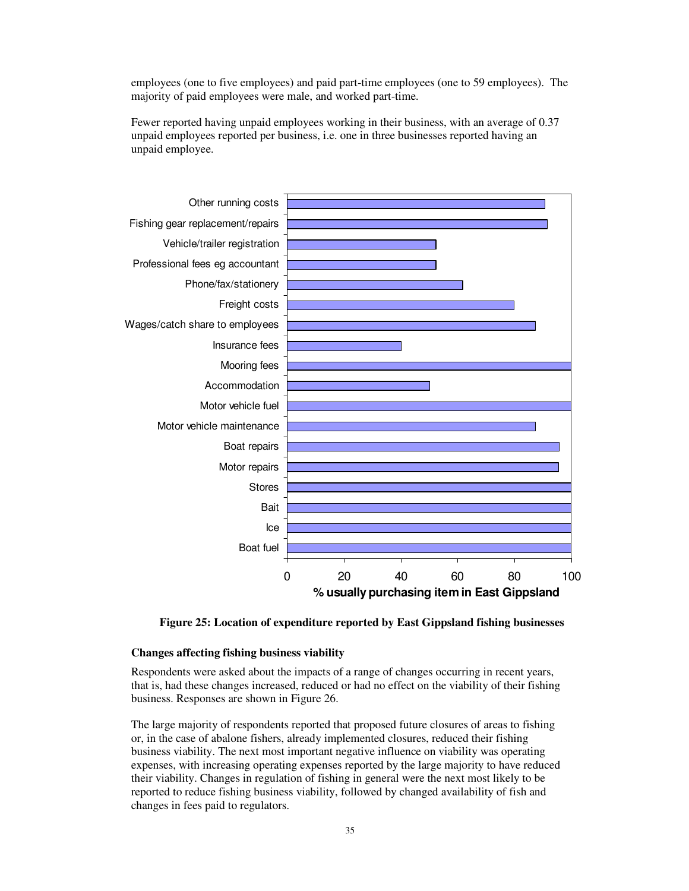employees (one to five employees) and paid part-time employees (one to 59 employees). The majority of paid employees were male, and worked part-time.

Fewer reported having unpaid employees working in their business, with an average of 0.37 unpaid employees reported per business, i.e. one in three businesses reported having an unpaid employee.



**Figure 25: Location of expenditure reported by East Gippsland fishing businesses**

#### **Changes affecting fishing business viability**

Respondents were asked about the impacts of a range of changes occurring in recent years, that is, had these changes increased, reduced or had no effect on the viability of their fishing business. Responses are shown in Figure 26.

The large majority of respondents reported that proposed future closures of areas to fishing or, in the case of abalone fishers, already implemented closures, reduced their fishing business viability. The next most important negative influence on viability was operating expenses, with increasing operating expenses reported by the large majority to have reduced their viability. Changes in regulation of fishing in general were the next most likely to be reported to reduce fishing business viability, followed by changed availability of fish and changes in fees paid to regulators.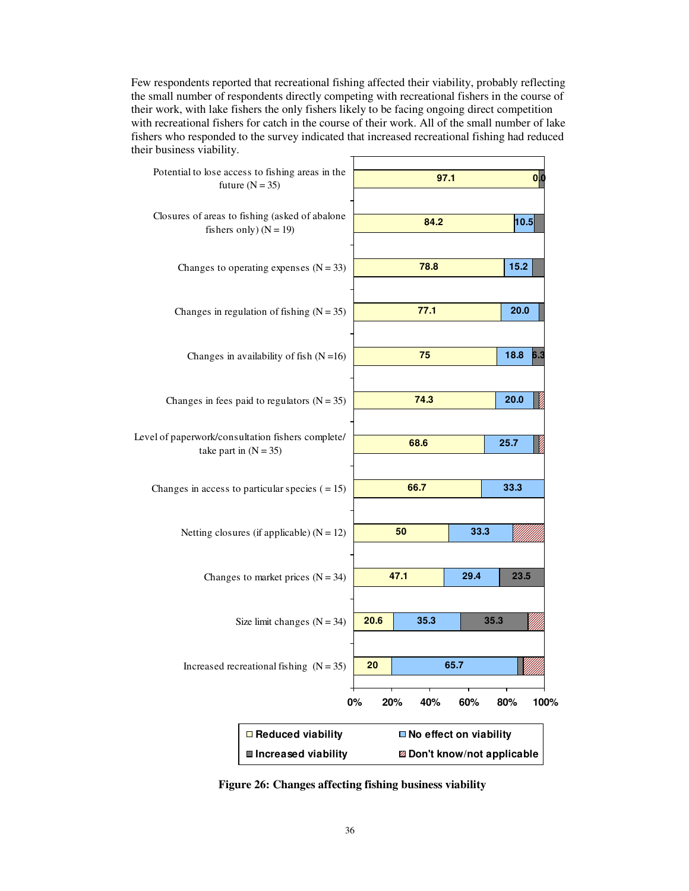Few respondents reported that recreational fishing affected their viability, probably reflecting the small number of respondents directly competing with recreational fishers in the course of their work, with lake fishers the only fishers likely to be facing ongoing direct competition with recreational fishers for catch in the course of their work. All of the small number of lake fishers who responded to the survey indicated that increased recreational fishing had reduced their business viability.



**Figure 26: Changes affecting fishing business viability**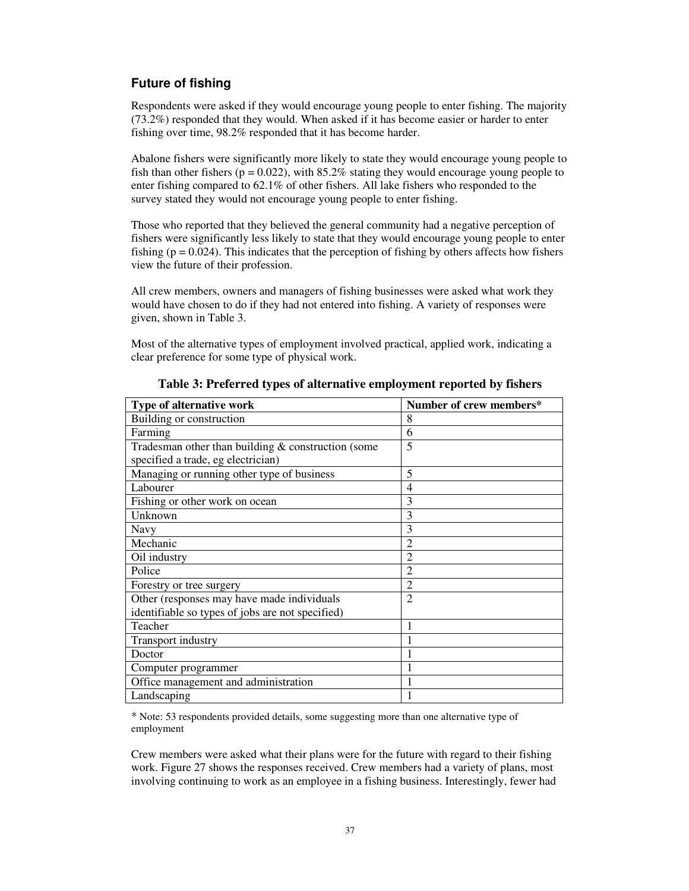## **Future of fishing**

Respondents were asked if they would encourage young people to enter fishing. The majority (73.2%) responded that they would. When asked if it has become easier or harder to enter fishing over time, 98.2% responded that it has become harder.

Abalone fishers were significantly more likely to state they would encourage young people to fish than other fishers ( $p = 0.022$ ), with 85.2% stating they would encourage young people to enter fishing compared to 62.1% of other fishers. All lake fishers who responded to the survey stated they would not encourage young people to enter fishing.

Those who reported that they believed the general community had a negative perception of fishers were significantly less likely to state that they would encourage young people to enter fishing ( $p = 0.024$ ). This indicates that the perception of fishing by others affects how fishers view the future of their profession.

All crew members, owners and managers of fishing businesses were asked what work they would have chosen to do if they had not entered into fishing. A variety of responses were given, shown in Table 3.

Most of the alternative types of employment involved practical, applied work, indicating a clear preference for some type of physical work.

| Type of alternative work                             | Number of crew members* |
|------------------------------------------------------|-------------------------|
| Building or construction                             | 8                       |
| Farming                                              | 6                       |
| Tradesman other than building $&$ construction (some | 5                       |
| specified a trade, eg electrician)                   |                         |
| Managing or running other type of business           | 5                       |
| Labourer                                             | 4                       |
| Fishing or other work on ocean                       | 3                       |
| Unknown                                              | 3                       |
| <b>Navy</b>                                          | 3                       |
| Mechanic                                             | $\overline{2}$          |
| Oil industry                                         | $\overline{2}$          |
| Police                                               | $\overline{2}$          |
| Forestry or tree surgery                             | $\overline{2}$          |
| Other (responses may have made individuals           | $\overline{2}$          |
| identifiable so types of jobs are not specified)     |                         |
| Teacher                                              | 1                       |
| Transport industry                                   |                         |
| Doctor                                               | $\mathbf{1}$            |
| Computer programmer                                  | 1                       |
| Office management and administration                 |                         |
| Landscaping                                          |                         |

**Table 3: Preferred types of alternative employment reported by fishers**

\* Note: 53 respondents provided details, some suggesting more than one alternative type of employment

Crew members were asked what their plans were for the future with regard to their fishing work. Figure 27 shows the responses received. Crew members had a variety of plans, most involving continuing to work as an employee in a fishing business. Interestingly, fewer had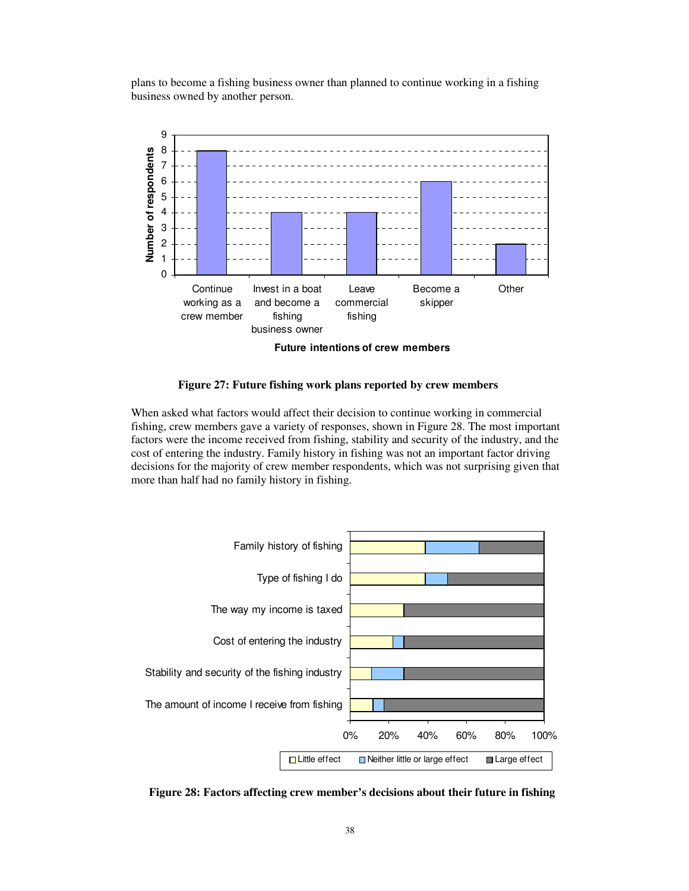plans to become a fishing business owner than planned to continue working in a fishing business owned by another person.



**Future intentions of crew members**

### **Figure 27: Future fishing work plans reported by crew members**

When asked what factors would affect their decision to continue working in commercial fishing, crew members gave a variety of responses, shown in Figure 28. The most important factors were the income received from fishing, stability and security of the industry, and the cost of entering the industry. Family history in fishing was not an important factor driving decisions for the majority of crew member respondents, which was not surprising given that more than half had no family history in fishing.



**Figure 28: Factors affecting crew member's decisions about their future in fishing**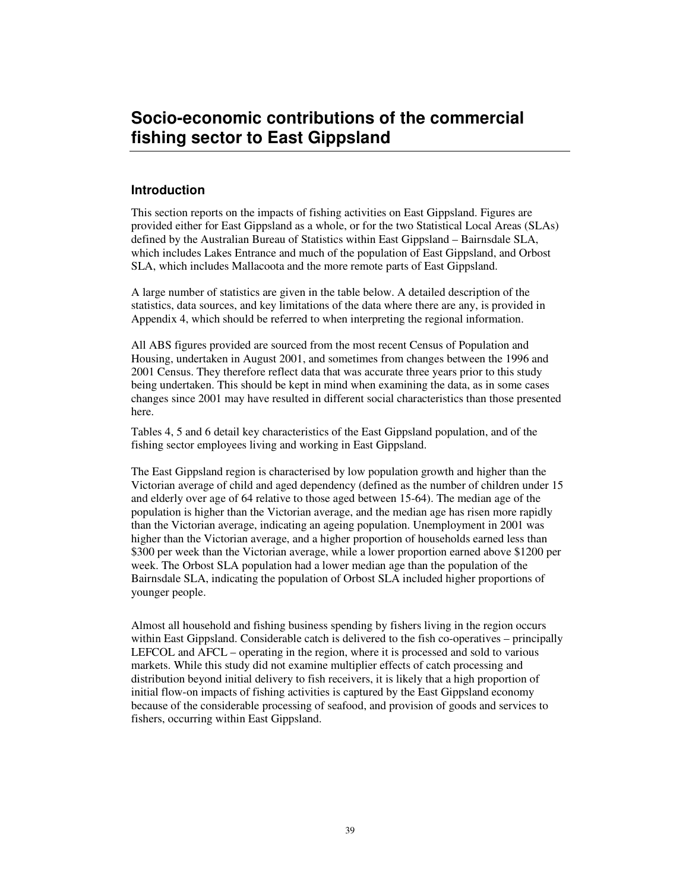## **Socio-economic contributions of the commercial fishing sector to East Gippsland**

## **Introduction**

This section reports on the impacts of fishing activities on East Gippsland. Figures are provided either for East Gippsland as a whole, or for the two Statistical Local Areas (SLAs) defined by the Australian Bureau of Statistics within East Gippsland – Bairnsdale SLA, which includes Lakes Entrance and much of the population of East Gippsland, and Orbost SLA, which includes Mallacoota and the more remote parts of East Gippsland.

A large number of statistics are given in the table below. A detailed description of the statistics, data sources, and key limitations of the data where there are any, is provided in Appendix 4, which should be referred to when interpreting the regional information.

All ABS figures provided are sourced from the most recent Census of Population and Housing, undertaken in August 2001, and sometimes from changes between the 1996 and 2001 Census. They therefore reflect data that was accurate three years prior to this study being undertaken. This should be kept in mind when examining the data, as in some cases changes since 2001 may have resulted in different social characteristics than those presented here.

Tables 4, 5 and 6 detail key characteristics of the East Gippsland population, and of the fishing sector employees living and working in East Gippsland.

The East Gippsland region is characterised by low population growth and higher than the Victorian average of child and aged dependency (defined as the number of children under 15 and elderly over age of 64 relative to those aged between 15-64). The median age of the population is higher than the Victorian average, and the median age has risen more rapidly than the Victorian average, indicating an ageing population. Unemployment in 2001 was higher than the Victorian average, and a higher proportion of households earned less than \$300 per week than the Victorian average, while a lower proportion earned above \$1200 per week. The Orbost SLA population had a lower median age than the population of the Bairnsdale SLA, indicating the population of Orbost SLA included higher proportions of younger people.

Almost all household and fishing business spending by fishers living in the region occurs within East Gippsland. Considerable catch is delivered to the fish co-operatives – principally LEFCOL and AFCL – operating in the region, where it is processed and sold to various markets. While this study did not examine multiplier effects of catch processing and distribution beyond initial delivery to fish receivers, it is likely that a high proportion of initial flow-on impacts of fishing activities is captured by the East Gippsland economy because of the considerable processing of seafood, and provision of goods and services to fishers, occurring within East Gippsland.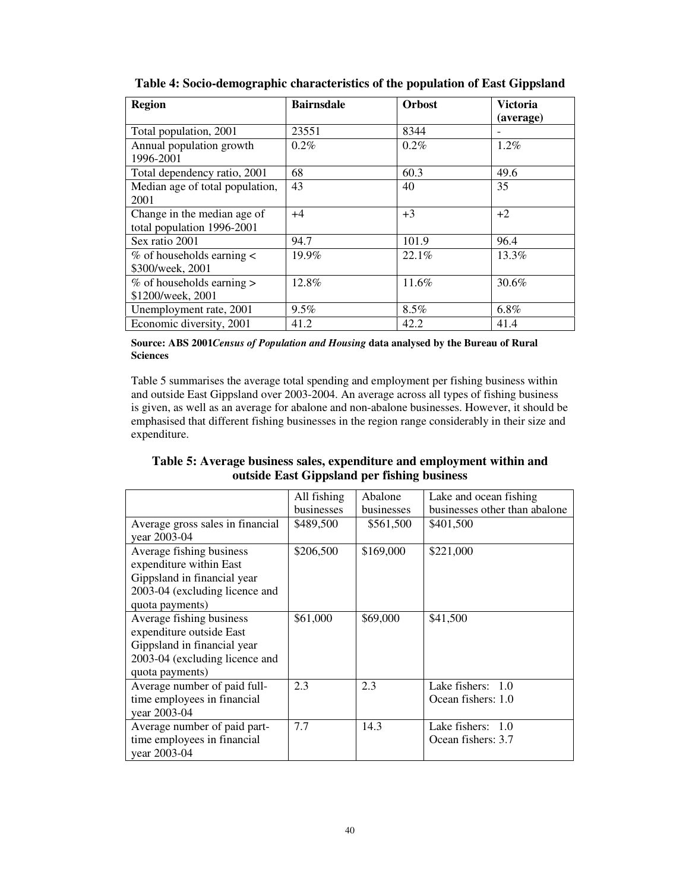| <b>Region</b>                   | <b>Bairnsdale</b> | <b>Orbost</b> | <b>Victoria</b> |
|---------------------------------|-------------------|---------------|-----------------|
|                                 |                   |               | (average)       |
| Total population, 2001          | 23551             | 8344          |                 |
| Annual population growth        | $0.2\%$           | $0.2\%$       | $1.2\%$         |
| 1996-2001                       |                   |               |                 |
| Total dependency ratio, 2001    | 68                | 60.3          | 49.6            |
| Median age of total population, | 43                | 40            | 35              |
| 2001                            |                   |               |                 |
| Change in the median age of     | $+4$              | $+3$          | $+2$            |
| total population 1996-2001      |                   |               |                 |
| Sex ratio 2001                  | 94.7              | 101.9         | 96.4            |
| $%$ of households earning $<$   | 19.9%             | 22.1%         | 13.3%           |
| \$300/week, 2001                |                   |               |                 |
| $%$ of households earning $>$   | 12.8%             | 11.6%         | 30.6%           |
| \$1200/week, 2001               |                   |               |                 |
| Unemployment rate, 2001         | 9.5%              | 8.5%          | $6.8\%$         |
| Economic diversity, 2001        | 41.2              | 42.2          | 41.4            |

**Table 4: Socio-demographic characteristics of the population of East Gippsland**

**Source: ABS 2001***Census of Population and Housing* **data analysed by the Bureau of Rural Sciences**

Table 5 summarises the average total spending and employment per fishing business within and outside East Gippsland over 2003-2004. An average across all types of fishing business is given, as well as an average for abalone and non-abalone businesses. However, it should be emphasised that different fishing businesses in the region range considerably in their size and expenditure.

**Table 5: Average business sales, expenditure and employment within and outside East Gippsland per fishing business**

|                                  | All fishing | Abalone    | Lake and ocean fishing        |
|----------------------------------|-------------|------------|-------------------------------|
|                                  | businesses  | businesses | businesses other than abalone |
| Average gross sales in financial | \$489,500   | \$561,500  | \$401,500                     |
| year 2003-04                     |             |            |                               |
| Average fishing business         | \$206,500   | \$169,000  | \$221,000                     |
| expenditure within East          |             |            |                               |
| Gippsland in financial year      |             |            |                               |
| 2003-04 (excluding licence and   |             |            |                               |
| quota payments)                  |             |            |                               |
| Average fishing business         | \$61,000    | \$69,000   | \$41,500                      |
| expenditure outside East         |             |            |                               |
| Gippsland in financial year      |             |            |                               |
| 2003-04 (excluding licence and   |             |            |                               |
| quota payments)                  |             |            |                               |
| Average number of paid full-     | 2.3         | 2.3        | Lake fishers: 1.0             |
| time employees in financial      |             |            | Ocean fishers: 1.0            |
| year 2003-04                     |             |            |                               |
| Average number of paid part-     | 7.7         | 14.3       | Lake fishers: $1.0$           |
| time employees in financial      |             |            | Ocean fishers: 3.7            |
| year 2003-04                     |             |            |                               |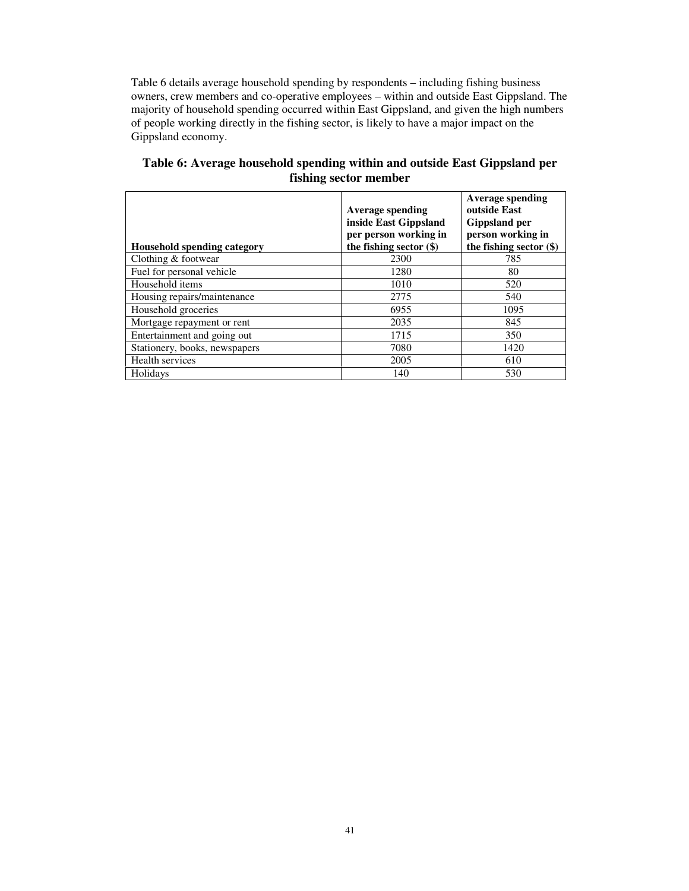Table 6 details average household spending by respondents – including fishing business owners, crew members and co-operative employees – within and outside East Gippsland. The majority of household spending occurred within East Gippsland, and given the high numbers of people working directly in the fishing sector, is likely to have a major impact on the Gippsland economy.

|                                    | <b>Average spending</b><br>inside East Gippsland<br>per person working in | <b>Average spending</b><br>outside East<br><b>Gippsland per</b><br>person working in |
|------------------------------------|---------------------------------------------------------------------------|--------------------------------------------------------------------------------------|
| <b>Household spending category</b> | the fishing sector $(\$)$                                                 | the fishing sector (\$)                                                              |
| Clothing & footwear                | 2300                                                                      | 785                                                                                  |
| Fuel for personal vehicle          | 1280                                                                      | 80                                                                                   |
| Household items                    | 1010                                                                      | 520                                                                                  |
| Housing repairs/maintenance        | 2775                                                                      | 540                                                                                  |
| Household groceries                | 6955                                                                      | 1095                                                                                 |
| Mortgage repayment or rent         | 2035                                                                      | 845                                                                                  |
| Entertainment and going out        | 1715                                                                      | 350                                                                                  |
| Stationery, books, newspapers      | 7080                                                                      | 1420                                                                                 |
| Health services                    | 2005                                                                      | 610                                                                                  |
| Holidays                           | 140                                                                       | 530                                                                                  |

## **Table 6: Average household spending within and outside East Gippsland per fishing sector member**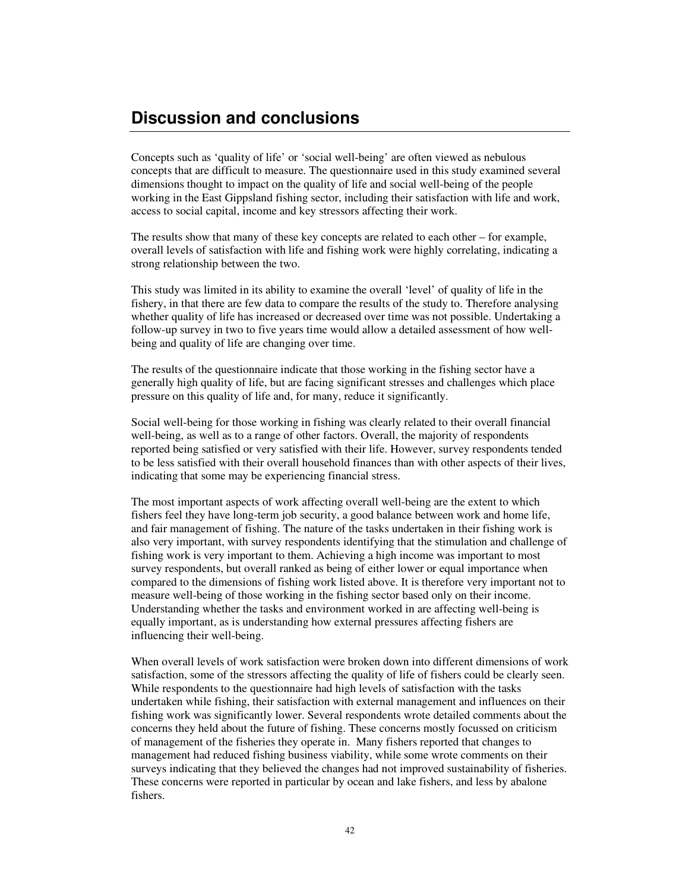## **Discussion and conclusions**

Concepts such as 'quality of life' or 'social well-being' are often viewed as nebulous concepts that are difficult to measure. The questionnaire used in this study examined several dimensions thought to impact on the quality of life and social well-being of the people working in the East Gippsland fishing sector, including their satisfaction with life and work, access to social capital, income and key stressors affecting their work.

The results show that many of these key concepts are related to each other – for example, overall levels of satisfaction with life and fishing work were highly correlating, indicating a strong relationship between the two.

This study was limited in its ability to examine the overall 'level' of quality of life in the fishery, in that there are few data to compare the results of the study to. Therefore analysing whether quality of life has increased or decreased over time was not possible. Undertaking a follow-up survey in two to five years time would allow a detailed assessment of how wellbeing and quality of life are changing over time.

The results of the questionnaire indicate that those working in the fishing sector have a generally high quality of life, but are facing significant stresses and challenges which place pressure on this quality of life and, for many, reduce it significantly.

Social well-being for those working in fishing was clearly related to their overall financial well-being, as well as to a range of other factors. Overall, the majority of respondents reported being satisfied or very satisfied with their life. However, survey respondents tended to be less satisfied with their overall household finances than with other aspects of their lives, indicating that some may be experiencing financial stress.

The most important aspects of work affecting overall well-being are the extent to which fishers feel they have long-term job security, a good balance between work and home life, and fair management of fishing. The nature of the tasks undertaken in their fishing work is also very important, with survey respondents identifying that the stimulation and challenge of fishing work is very important to them. Achieving a high income was important to most survey respondents, but overall ranked as being of either lower or equal importance when compared to the dimensions of fishing work listed above. It is therefore very important not to measure well-being of those working in the fishing sector based only on their income. Understanding whether the tasks and environment worked in are affecting well-being is equally important, as is understanding how external pressures affecting fishers are influencing their well-being.

When overall levels of work satisfaction were broken down into different dimensions of work satisfaction, some of the stressors affecting the quality of life of fishers could be clearly seen. While respondents to the questionnaire had high levels of satisfaction with the tasks undertaken while fishing, their satisfaction with external management and influences on their fishing work was significantly lower. Several respondents wrote detailed comments about the concerns they held about the future of fishing. These concerns mostly focussed on criticism of management of the fisheries they operate in. Many fishers reported that changes to management had reduced fishing business viability, while some wrote comments on their surveys indicating that they believed the changes had not improved sustainability of fisheries. These concerns were reported in particular by ocean and lake fishers, and less by abalone fishers.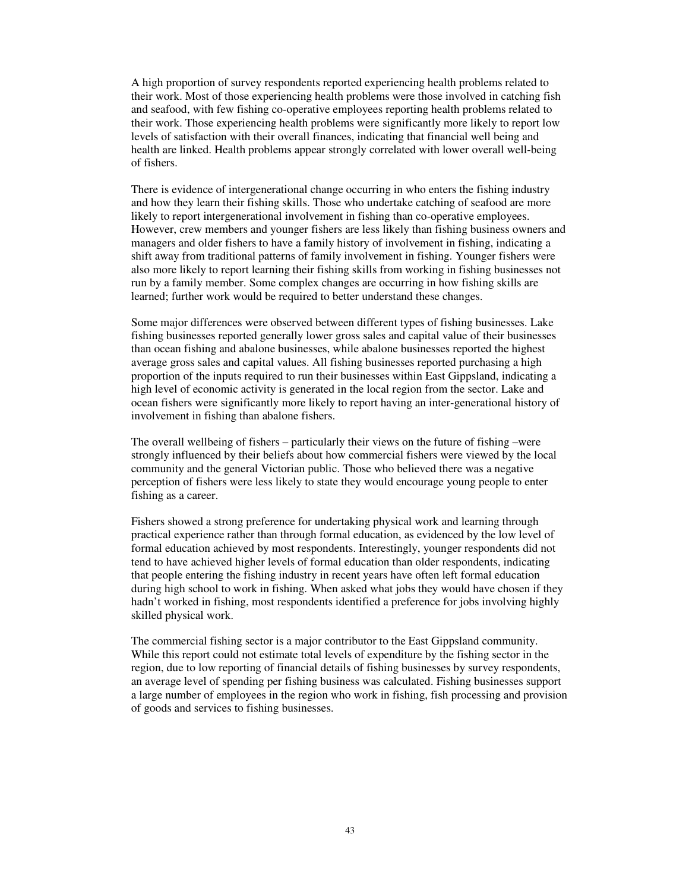A high proportion of survey respondents reported experiencing health problems related to their work. Most of those experiencing health problems were those involved in catching fish and seafood, with few fishing co-operative employees reporting health problems related to their work. Those experiencing health problems were significantly more likely to report low levels of satisfaction with their overall finances, indicating that financial well being and health are linked. Health problems appear strongly correlated with lower overall well-being of fishers.

There is evidence of intergenerational change occurring in who enters the fishing industry and how they learn their fishing skills. Those who undertake catching of seafood are more likely to report intergenerational involvement in fishing than co-operative employees. However, crew members and younger fishers are less likely than fishing business owners and managers and older fishers to have a family history of involvement in fishing, indicating a shift away from traditional patterns of family involvement in fishing. Younger fishers were also more likely to report learning their fishing skills from working in fishing businesses not run by a family member. Some complex changes are occurring in how fishing skills are learned; further work would be required to better understand these changes.

Some major differences were observed between different types of fishing businesses. Lake fishing businesses reported generally lower gross sales and capital value of their businesses than ocean fishing and abalone businesses, while abalone businesses reported the highest average gross sales and capital values. All fishing businesses reported purchasing a high proportion of the inputs required to run their businesses within East Gippsland, indicating a high level of economic activity is generated in the local region from the sector. Lake and ocean fishers were significantly more likely to report having an inter-generational history of involvement in fishing than abalone fishers.

The overall wellbeing of fishers – particularly their views on the future of fishing –were strongly influenced by their beliefs about how commercial fishers were viewed by the local community and the general Victorian public. Those who believed there was a negative perception of fishers were less likely to state they would encourage young people to enter fishing as a career.

Fishers showed a strong preference for undertaking physical work and learning through practical experience rather than through formal education, as evidenced by the low level of formal education achieved by most respondents. Interestingly, younger respondents did not tend to have achieved higher levels of formal education than older respondents, indicating that people entering the fishing industry in recent years have often left formal education during high school to work in fishing. When asked what jobs they would have chosen if they hadn't worked in fishing, most respondents identified a preference for jobs involving highly skilled physical work.

The commercial fishing sector is a major contributor to the East Gippsland community. While this report could not estimate total levels of expenditure by the fishing sector in the region, due to low reporting of financial details of fishing businesses by survey respondents, an average level of spending per fishing business was calculated. Fishing businesses support a large number of employees in the region who work in fishing, fish processing and provision of goods and services to fishing businesses.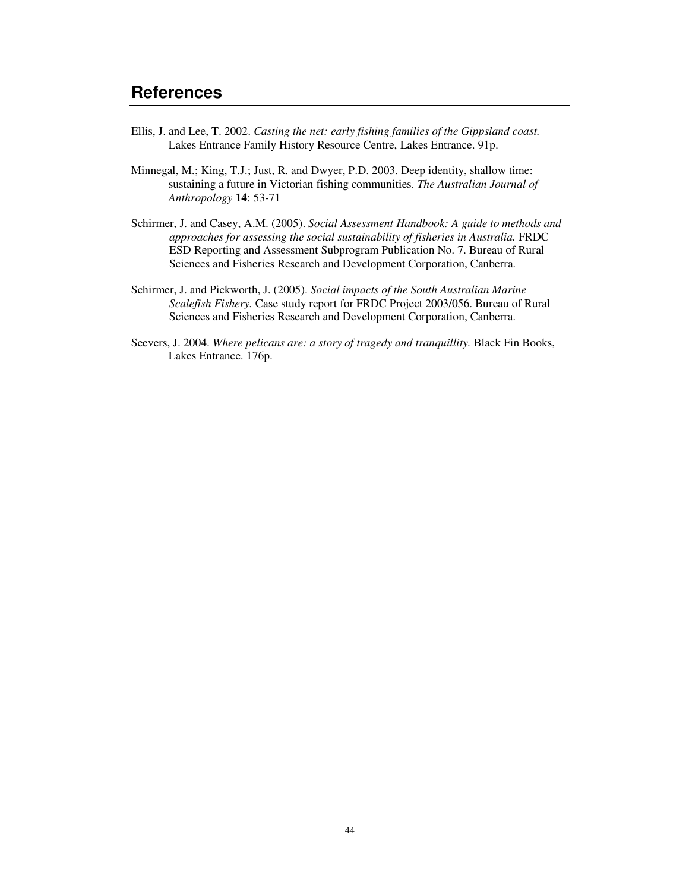- Ellis, J. and Lee, T. 2002. *Casting the net: early fishing families of the Gippsland coast.* Lakes Entrance Family History Resource Centre, Lakes Entrance. 91p.
- Minnegal, M.; King, T.J.; Just, R. and Dwyer, P.D. 2003. Deep identity, shallow time: sustaining a future in Victorian fishing communities. *The Australian Journal of Anthropology* **14**: 53-71
- Schirmer, J. and Casey, A.M. (2005). *Social Assessment Handbook: A guide to methods and approaches for assessing the social sustainability of fisheries in Australia.* FRDC ESD Reporting and Assessment Subprogram Publication No. 7. Bureau of Rural Sciences and Fisheries Research and Development Corporation, Canberra.
- Schirmer, J. and Pickworth, J. (2005). *Social impacts of the South Australian Marine Scalefish Fishery.* Case study report for FRDC Project 2003/056. Bureau of Rural Sciences and Fisheries Research and Development Corporation, Canberra.
- Seevers, J. 2004. *Where pelicans are: a story of tragedy and tranquillity.* Black Fin Books, Lakes Entrance. 176p.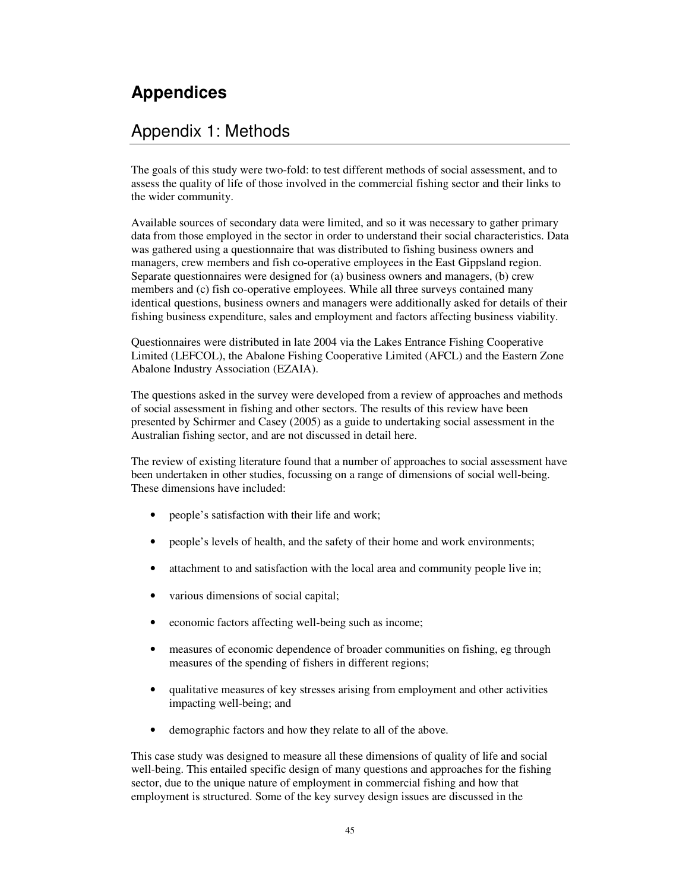# **Appendices**

## Appendix 1: Methods

The goals of this study were two-fold: to test different methods of social assessment, and to assess the quality of life of those involved in the commercial fishing sector and their links to the wider community.

Available sources of secondary data were limited, and so it was necessary to gather primary data from those employed in the sector in order to understand their social characteristics. Data was gathered using a questionnaire that was distributed to fishing business owners and managers, crew members and fish co-operative employees in the East Gippsland region. Separate questionnaires were designed for (a) business owners and managers, (b) crew members and (c) fish co-operative employees. While all three surveys contained many identical questions, business owners and managers were additionally asked for details of their fishing business expenditure, sales and employment and factors affecting business viability.

Questionnaires were distributed in late 2004 via the Lakes Entrance Fishing Cooperative Limited (LEFCOL), the Abalone Fishing Cooperative Limited (AFCL) and the Eastern Zone Abalone Industry Association (EZAIA).

The questions asked in the survey were developed from a review of approaches and methods of social assessment in fishing and other sectors. The results of this review have been presented by Schirmer and Casey (2005) as a guide to undertaking social assessment in the Australian fishing sector, and are not discussed in detail here.

The review of existing literature found that a number of approaches to social assessment have been undertaken in other studies, focussing on a range of dimensions of social well-being. These dimensions have included:

- people's satisfaction with their life and work;
- people's levels of health, and the safety of their home and work environments;
- attachment to and satisfaction with the local area and community people live in;
- various dimensions of social capital;
- economic factors affecting well-being such as income;
- measures of economic dependence of broader communities on fishing, eg through measures of the spending of fishers in different regions;
- qualitative measures of key stresses arising from employment and other activities impacting well-being; and
- demographic factors and how they relate to all of the above.

This case study was designed to measure all these dimensions of quality of life and social well-being. This entailed specific design of many questions and approaches for the fishing sector, due to the unique nature of employment in commercial fishing and how that employment is structured. Some of the key survey design issues are discussed in the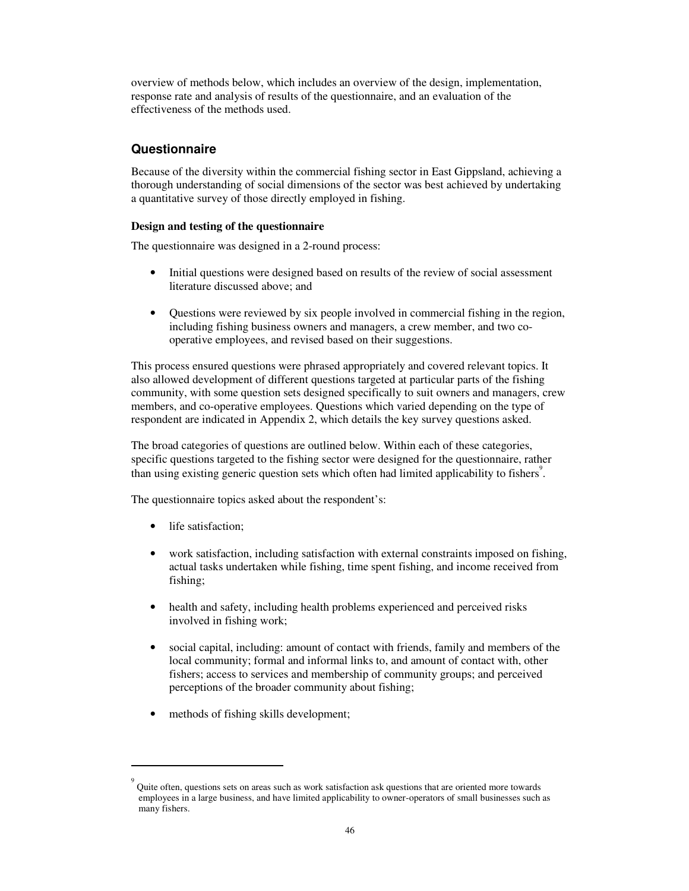overview of methods below, which includes an overview of the design, implementation, response rate and analysis of results of the questionnaire, and an evaluation of the effectiveness of the methods used.

## **Questionnaire**

Because of the diversity within the commercial fishing sector in East Gippsland, achieving a thorough understanding of social dimensions of the sector was best achieved by undertaking a quantitative survey of those directly employed in fishing.

## **Design and testing of the questionnaire**

The questionnaire was designed in a 2-round process:

- Initial questions were designed based on results of the review of social assessment literature discussed above; and
- Questions were reviewed by six people involved in commercial fishing in the region, including fishing business owners and managers, a crew member, and two cooperative employees, and revised based on their suggestions.

This process ensured questions were phrased appropriately and covered relevant topics. It also allowed development of different questions targeted at particular parts of the fishing community, with some question sets designed specifically to suit owners and managers, crew members, and co-operative employees. Questions which varied depending on the type of respondent are indicated in Appendix 2, which details the key survey questions asked.

The broad categories of questions are outlined below. Within each of these categories, specific questions targeted to the fishing sector were designed for the questionnaire, rather than using existing generic question sets which often had limited applicability to fishers<sup>9</sup>.

The questionnaire topics asked about the respondent's:

- life satisfaction:
- work satisfaction, including satisfaction with external constraints imposed on fishing, actual tasks undertaken while fishing, time spent fishing, and income received from fishing;
- health and safety, including health problems experienced and perceived risks involved in fishing work;
- social capital, including: amount of contact with friends, family and members of the local community; formal and informal links to, and amount of contact with, other fishers; access to services and membership of community groups; and perceived perceptions of the broader community about fishing;
- methods of fishing skills development;

<sup>9</sup> Quite often, questions sets on areas such as work satisfaction ask questions that are oriented more towards employees in a large business, and have limited applicability to owner-operators of small businesses such as many fishers.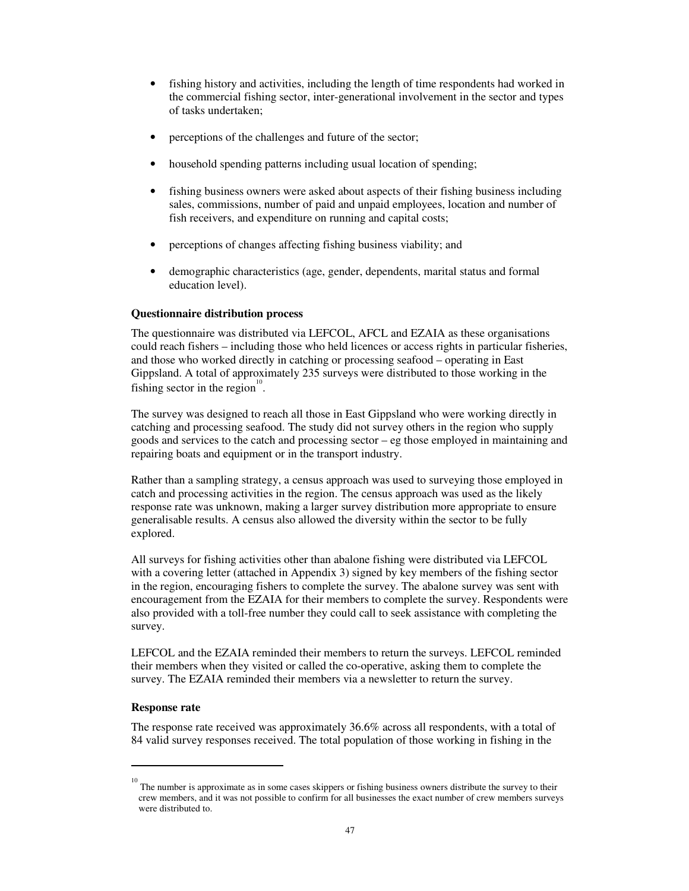- fishing history and activities, including the length of time respondents had worked in the commercial fishing sector, inter-generational involvement in the sector and types of tasks undertaken;
- perceptions of the challenges and future of the sector;
- household spending patterns including usual location of spending;
- fishing business owners were asked about aspects of their fishing business including sales, commissions, number of paid and unpaid employees, location and number of fish receivers, and expenditure on running and capital costs;
- perceptions of changes affecting fishing business viability; and
- demographic characteristics (age, gender, dependents, marital status and formal education level).

#### **Questionnaire distribution process**

The questionnaire was distributed via LEFCOL, AFCL and EZAIA as these organisations could reach fishers – including those who held licences or access rights in particular fisheries, and those who worked directly in catching or processing seafood – operating in East Gippsland. A total of approximately 235 surveys were distributed to those working in the fishing sector in the region<sup>10</sup>.

The survey was designed to reach all those in East Gippsland who were working directly in catching and processing seafood. The study did not survey others in the region who supply goods and services to the catch and processing sector – eg those employed in maintaining and repairing boats and equipment or in the transport industry.

Rather than a sampling strategy, a census approach was used to surveying those employed in catch and processing activities in the region. The census approach was used as the likely response rate was unknown, making a larger survey distribution more appropriate to ensure generalisable results. A census also allowed the diversity within the sector to be fully explored.

All surveys for fishing activities other than abalone fishing were distributed via LEFCOL with a covering letter (attached in Appendix 3) signed by key members of the fishing sector in the region, encouraging fishers to complete the survey. The abalone survey was sent with encouragement from the EZAIA for their members to complete the survey. Respondents were also provided with a toll-free number they could call to seek assistance with completing the survey.

LEFCOL and the EZAIA reminded their members to return the surveys. LEFCOL reminded their members when they visited or called the co-operative, asking them to complete the survey. The EZAIA reminded their members via a newsletter to return the survey.

#### **Response rate**

The response rate received was approximately 36.6% across all respondents, with a total of 84 valid survey responses received. The total population of those working in fishing in the

<sup>&</sup>lt;sup>10</sup> The number is approximate as in some cases skippers or fishing business owners distribute the survey to their crew members, and it was not possible to confirm for all businesses the exact number of crew members surveys were distributed to.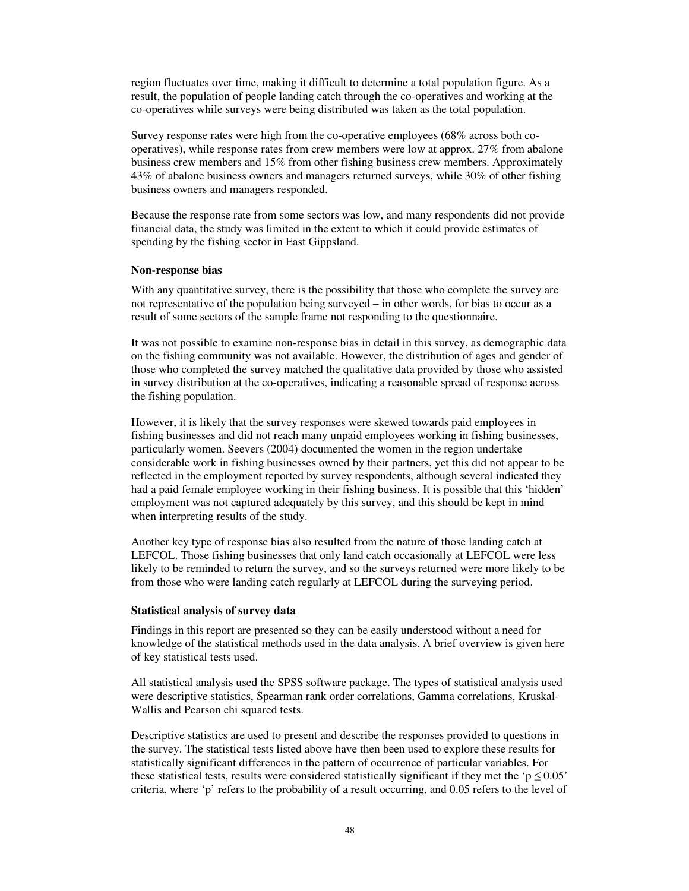region fluctuates over time, making it difficult to determine a total population figure. As a result, the population of people landing catch through the co-operatives and working at the co-operatives while surveys were being distributed was taken as the total population.

Survey response rates were high from the co-operative employees (68% across both cooperatives), while response rates from crew members were low at approx. 27% from abalone business crew members and 15% from other fishing business crew members. Approximately 43% of abalone business owners and managers returned surveys, while 30% of other fishing business owners and managers responded.

Because the response rate from some sectors was low, and many respondents did not provide financial data, the study was limited in the extent to which it could provide estimates of spending by the fishing sector in East Gippsland.

#### **Non-response bias**

With any quantitative survey, there is the possibility that those who complete the survey are not representative of the population being surveyed – in other words, for bias to occur as a result of some sectors of the sample frame not responding to the questionnaire.

It was not possible to examine non-response bias in detail in this survey, as demographic data on the fishing community was not available. However, the distribution of ages and gender of those who completed the survey matched the qualitative data provided by those who assisted in survey distribution at the co-operatives, indicating a reasonable spread of response across the fishing population.

However, it is likely that the survey responses were skewed towards paid employees in fishing businesses and did not reach many unpaid employees working in fishing businesses, particularly women. Seevers (2004) documented the women in the region undertake considerable work in fishing businesses owned by their partners, yet this did not appear to be reflected in the employment reported by survey respondents, although several indicated they had a paid female employee working in their fishing business. It is possible that this 'hidden' employment was not captured adequately by this survey, and this should be kept in mind when interpreting results of the study.

Another key type of response bias also resulted from the nature of those landing catch at LEFCOL. Those fishing businesses that only land catch occasionally at LEFCOL were less likely to be reminded to return the survey, and so the surveys returned were more likely to be from those who were landing catch regularly at LEFCOL during the surveying period.

#### **Statistical analysis of survey data**

Findings in this report are presented so they can be easily understood without a need for knowledge of the statistical methods used in the data analysis. A brief overview is given here of key statistical tests used.

All statistical analysis used the SPSS software package. The types of statistical analysis used were descriptive statistics, Spearman rank order correlations, Gamma correlations, Kruskal-Wallis and Pearson chi squared tests.

Descriptive statistics are used to present and describe the responses provided to questions in the survey. The statistical tests listed above have then been used to explore these results for statistically significant differences in the pattern of occurrence of particular variables. For these statistical tests, results were considered statistically significant if they met the ' $p \le 0.05$ ' criteria, where 'p' refers to the probability of a result occurring, and 0.05 refers to the level of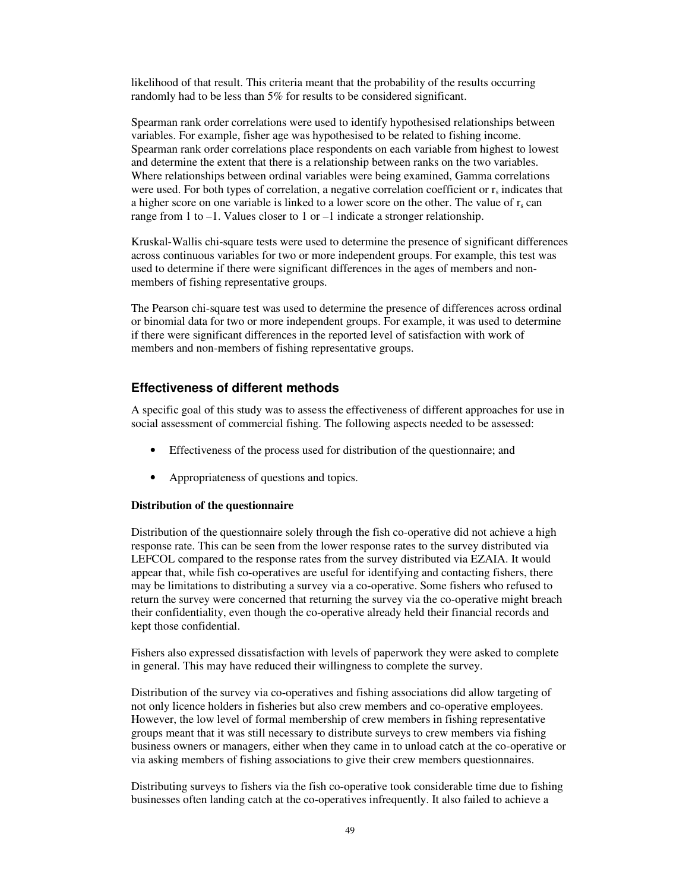likelihood of that result. This criteria meant that the probability of the results occurring randomly had to be less than 5% for results to be considered significant.

Spearman rank order correlations were used to identify hypothesised relationships between variables. For example, fisher age was hypothesised to be related to fishing income. Spearman rank order correlations place respondents on each variable from highest to lowest and determine the extent that there is a relationship between ranks on the two variables. Where relationships between ordinal variables were being examined, Gamma correlations were used. For both types of correlation, a negative correlation coefficient or  $r<sub>s</sub>$  indicates that a higher score on one variable is linked to a lower score on the other. The value of  $r_s$  can range from 1 to –1. Values closer to 1 or –1 indicate a stronger relationship.

Kruskal-Wallis chi-square tests were used to determine the presence of significant differences across continuous variables for two or more independent groups. For example, this test was used to determine if there were significant differences in the ages of members and nonmembers of fishing representative groups.

The Pearson chi-square test was used to determine the presence of differences across ordinal or binomial data for two or more independent groups. For example, it was used to determine if there were significant differences in the reported level of satisfaction with work of members and non-members of fishing representative groups.

## **Effectiveness of different methods**

A specific goal of this study was to assess the effectiveness of different approaches for use in social assessment of commercial fishing. The following aspects needed to be assessed:

- Effectiveness of the process used for distribution of the questionnaire; and
- Appropriateness of questions and topics.

#### **Distribution of the questionnaire**

Distribution of the questionnaire solely through the fish co-operative did not achieve a high response rate. This can be seen from the lower response rates to the survey distributed via LEFCOL compared to the response rates from the survey distributed via EZAIA. It would appear that, while fish co-operatives are useful for identifying and contacting fishers, there may be limitations to distributing a survey via a co-operative. Some fishers who refused to return the survey were concerned that returning the survey via the co-operative might breach their confidentiality, even though the co-operative already held their financial records and kept those confidential.

Fishers also expressed dissatisfaction with levels of paperwork they were asked to complete in general. This may have reduced their willingness to complete the survey.

Distribution of the survey via co-operatives and fishing associations did allow targeting of not only licence holders in fisheries but also crew members and co-operative employees. However, the low level of formal membership of crew members in fishing representative groups meant that it was still necessary to distribute surveys to crew members via fishing business owners or managers, either when they came in to unload catch at the co-operative or via asking members of fishing associations to give their crew members questionnaires.

Distributing surveys to fishers via the fish co-operative took considerable time due to fishing businesses often landing catch at the co-operatives infrequently. It also failed to achieve a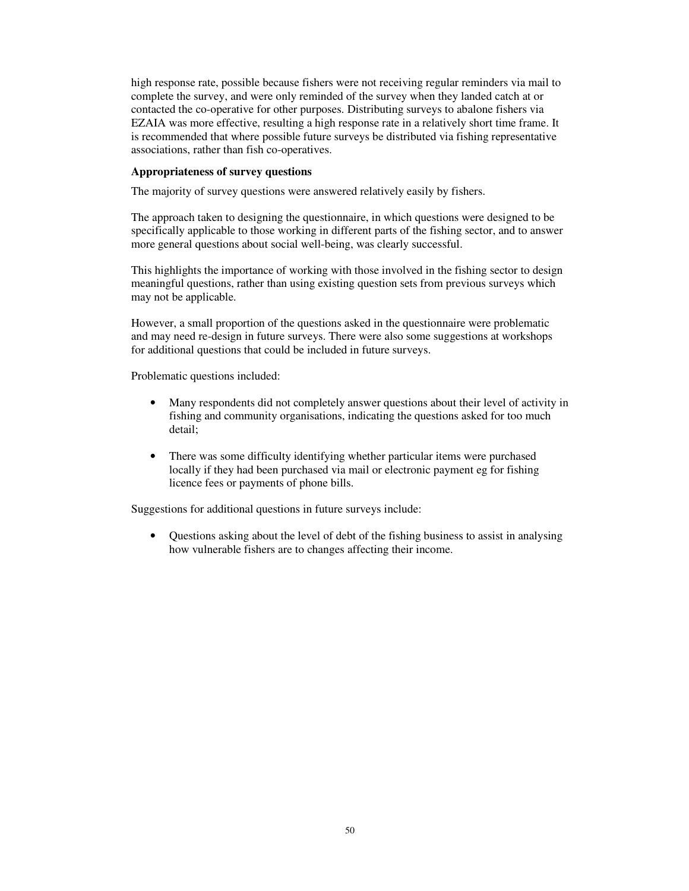high response rate, possible because fishers were not receiving regular reminders via mail to complete the survey, and were only reminded of the survey when they landed catch at or contacted the co-operative for other purposes. Distributing surveys to abalone fishers via EZAIA was more effective, resulting a high response rate in a relatively short time frame. It is recommended that where possible future surveys be distributed via fishing representative associations, rather than fish co-operatives.

### **Appropriateness of survey questions**

The majority of survey questions were answered relatively easily by fishers.

The approach taken to designing the questionnaire, in which questions were designed to be specifically applicable to those working in different parts of the fishing sector, and to answer more general questions about social well-being, was clearly successful.

This highlights the importance of working with those involved in the fishing sector to design meaningful questions, rather than using existing question sets from previous surveys which may not be applicable.

However, a small proportion of the questions asked in the questionnaire were problematic and may need re-design in future surveys. There were also some suggestions at workshops for additional questions that could be included in future surveys.

Problematic questions included:

- Many respondents did not completely answer questions about their level of activity in fishing and community organisations, indicating the questions asked for too much detail;
- There was some difficulty identifying whether particular items were purchased locally if they had been purchased via mail or electronic payment eg for fishing licence fees or payments of phone bills.

Suggestions for additional questions in future surveys include:

• Questions asking about the level of debt of the fishing business to assist in analysing how vulnerable fishers are to changes affecting their income.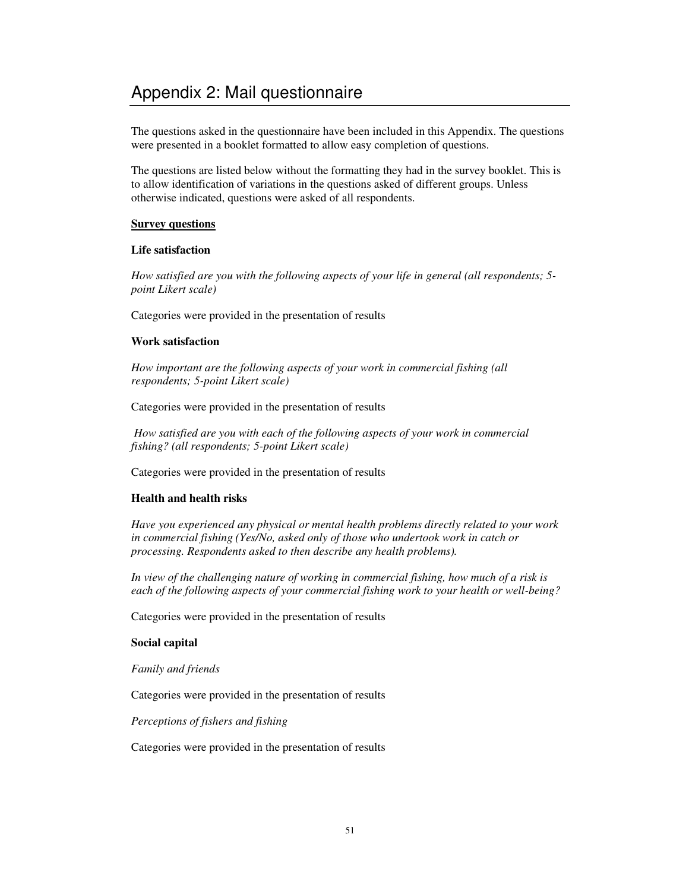The questions asked in the questionnaire have been included in this Appendix. The questions were presented in a booklet formatted to allow easy completion of questions.

The questions are listed below without the formatting they had in the survey booklet. This is to allow identification of variations in the questions asked of different groups. Unless otherwise indicated, questions were asked of all respondents.

## **Survey questions**

## **Life satisfaction**

*How satisfied are you with the following aspects of your life in general (all respondents; 5 point Likert scale)*

Categories were provided in the presentation of results

## **Work satisfaction**

*How important are the following aspects of your work in commercial fishing (all respondents; 5-point Likert scale)*

Categories were provided in the presentation of results

*How satisfied are you with each of the following aspects of your work in commercial fishing? (all respondents; 5-point Likert scale)*

Categories were provided in the presentation of results

## **Health and health risks**

*Have you experienced any physical or mental health problems directly related to your work in commercial fishing (Yes/No, asked only of those who undertook work in catch or processing. Respondents asked to then describe any health problems).*

*In view of the challenging nature of working in commercial fishing, how much of a risk is each of the following aspects of your commercial fishing work to your health or well-being?*

Categories were provided in the presentation of results

## **Social capital**

*Family and friends*

Categories were provided in the presentation of results

*Perceptions of fishers and fishing*

Categories were provided in the presentation of results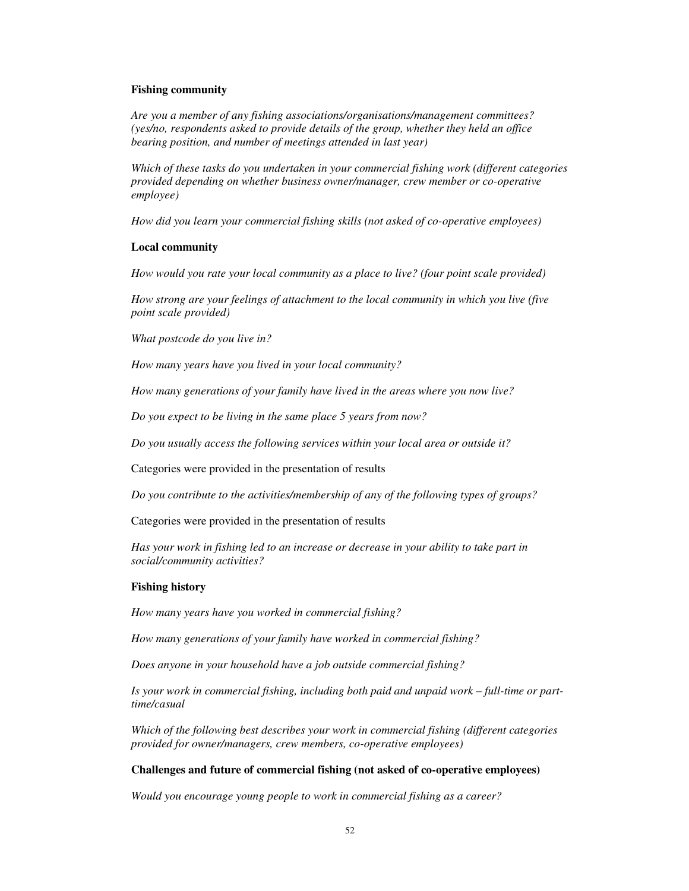#### **Fishing community**

*Are you a member of any fishing associations/organisations/management committees? (yes/no, respondents asked to provide details of the group, whether they held an office bearing position, and number of meetings attended in last year)*

*Which of these tasks do you undertaken in your commercial fishing work (different categories provided depending on whether business owner/manager, crew member or co-operative employee)*

*How did you learn your commercial fishing skills (not asked of co-operative employees)*

#### **Local community**

*How would you rate your local community as a place to live? (four point scale provided)*

*How strong are your feelings of attachment to the local community in which you live (five point scale provided)*

*What postcode do you live in?*

*How many years have you lived in your local community?*

*How many generations of your family have lived in the areas where you now live?*

*Do you expect to be living in the same place 5 years from now?*

*Do you usually access the following services within your local area or outside it?*

Categories were provided in the presentation of results

*Do you contribute to the activities/membership of any of the following types of groups?*

Categories were provided in the presentation of results

*Has your work in fishing led to an increase or decrease in your ability to take part in social/community activities?*

#### **Fishing history**

*How many years have you worked in commercial fishing?*

*How many generations of your family have worked in commercial fishing?*

*Does anyone in your household have a job outside commercial fishing?*

*Is your work in commercial fishing, including both paid and unpaid work – full-time or parttime/casual*

*Which of the following best describes your work in commercial fishing (different categories provided for owner/managers, crew members, co-operative employees)*

#### **Challenges and future of commercial fishing (not asked of co-operative employees)**

*Would you encourage young people to work in commercial fishing as a career?*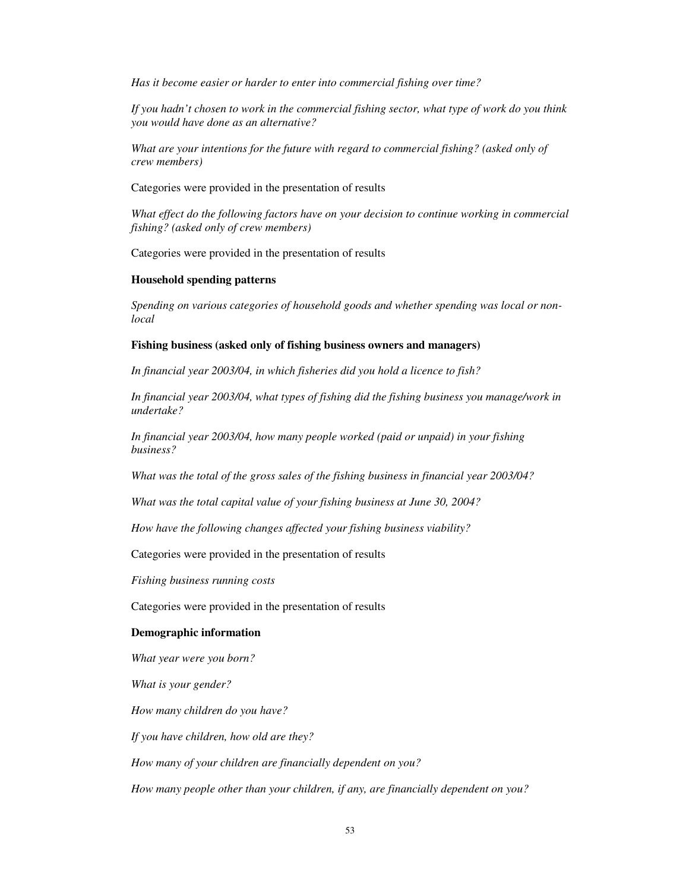*Has it become easier or harder to enter into commercial fishing over time?*

*If you hadn't chosen to work in the commercial fishing sector, what type of work do you think you would have done as an alternative?*

*What are your intentions for the future with regard to commercial fishing? (asked only of crew members)*

Categories were provided in the presentation of results

*What effect do the following factors have on your decision to continue working in commercial fishing? (asked only of crew members)*

Categories were provided in the presentation of results

#### **Household spending patterns**

*Spending on various categories of household goods and whether spending was local or nonlocal*

#### **Fishing business (asked only of fishing business owners and managers)**

*In financial year 2003/04, in which fisheries did you hold a licence to fish?*

*In financial year 2003/04, what types of fishing did the fishing business you manage/work in undertake?*

*In financial year 2003/04, how many people worked (paid or unpaid) in your fishing business?*

*What was the total of the gross sales of the fishing business in financial year 2003/04?*

*What was the total capital value of your fishing business at June 30, 2004?*

*How have the following changes affected your fishing business viability?*

Categories were provided in the presentation of results

*Fishing business running costs*

Categories were provided in the presentation of results

#### **Demographic information**

*What year were you born?*

*What is your gender?*

*How many children do you have?*

*If you have children, how old are they?*

*How many of your children are financially dependent on you?*

*How many people other than your children, if any, are financially dependent on you?*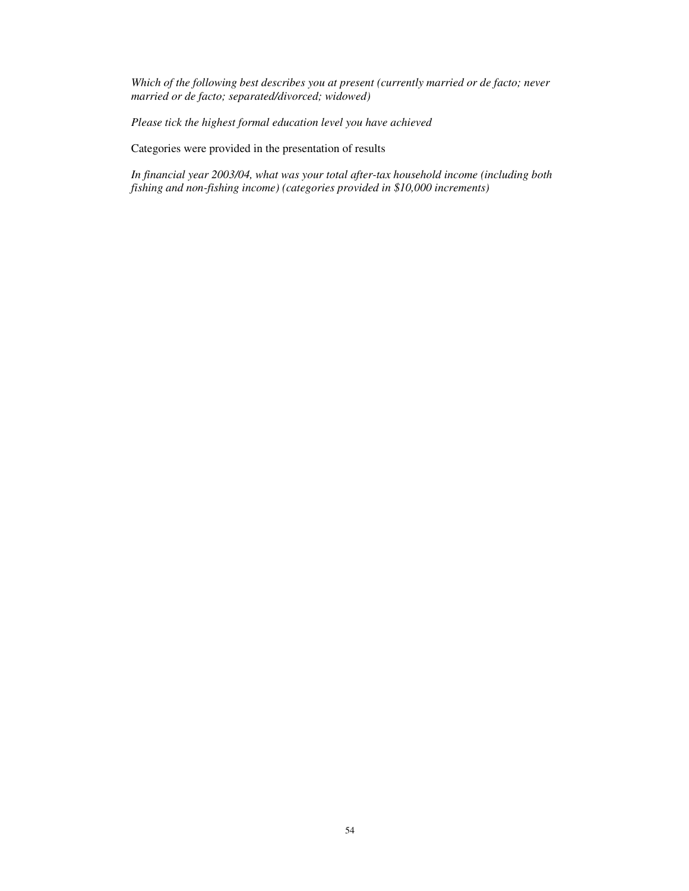*Which of the following best describes you at present (currently married or de facto; never married or de facto; separated/divorced; widowed)*

*Please tick the highest formal education level you have achieved*

Categories were provided in the presentation of results

*In financial year 2003/04, what was your total after-tax household income (including both fishing and non-fishing income) (categories provided in \$10,000 increments)*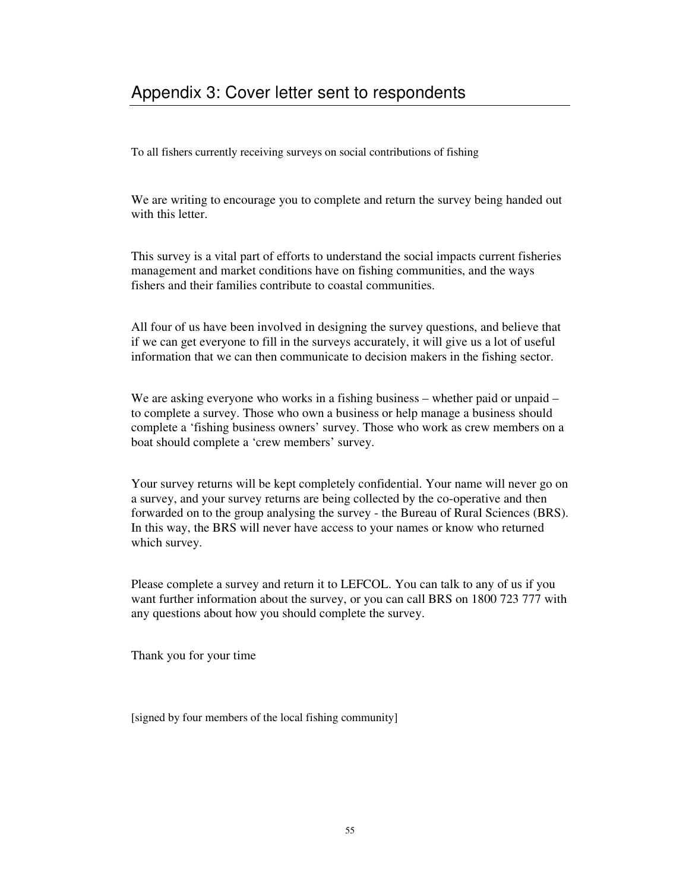To all fishers currently receiving surveys on social contributions of fishing

We are writing to encourage you to complete and return the survey being handed out with this letter.

This survey is a vital part of efforts to understand the social impacts current fisheries management and market conditions have on fishing communities, and the ways fishers and their families contribute to coastal communities.

All four of us have been involved in designing the survey questions, and believe that if we can get everyone to fill in the surveys accurately, it will give us a lot of useful information that we can then communicate to decision makers in the fishing sector.

We are asking everyone who works in a fishing business – whether paid or unpaid – to complete a survey. Those who own a business or help manage a business should complete a 'fishing business owners' survey. Those who work as crew members on a boat should complete a 'crew members' survey.

Your survey returns will be kept completely confidential. Your name will never go on a survey, and your survey returns are being collected by the co-operative and then forwarded on to the group analysing the survey - the Bureau of Rural Sciences (BRS). In this way, the BRS will never have access to your names or know who returned which survey.

Please complete a survey and return it to LEFCOL. You can talk to any of us if you want further information about the survey, or you can call BRS on 1800 723 777 with any questions about how you should complete the survey.

Thank you for your time

[signed by four members of the local fishing community]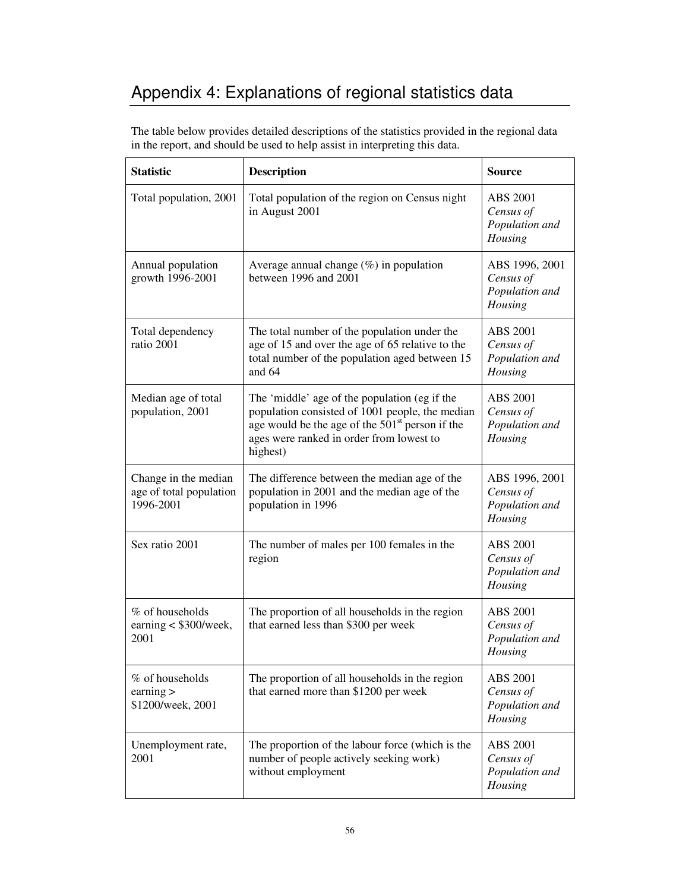# Appendix 4: Explanations of regional statistics data

The table below provides detailed descriptions of the statistics provided in the regional data in the report, and should be used to help assist in interpreting this data.

| <b>Statistic</b>                                             | <b>Description</b>                                                                                                                                                                                                      | <b>Source</b>                                             |
|--------------------------------------------------------------|-------------------------------------------------------------------------------------------------------------------------------------------------------------------------------------------------------------------------|-----------------------------------------------------------|
| Total population, 2001                                       | Total population of the region on Census night<br>in August 2001                                                                                                                                                        | ABS 2001<br>Census of<br>Population and<br>Housing        |
| Annual population<br>growth 1996-2001                        | Average annual change $(\%)$ in population<br>between 1996 and 2001                                                                                                                                                     | ABS 1996, 2001<br>Census of<br>Population and<br>Housing  |
| Total dependency<br>ratio 2001                               | The total number of the population under the<br>age of 15 and over the age of 65 relative to the<br>total number of the population aged between 15<br>and $64$                                                          | ABS 2001<br>Census of<br>Population and<br>Housing        |
| Median age of total<br>population, 2001                      | The 'middle' age of the population (eg if the<br>population consisted of 1001 people, the median<br>age would be the age of the 501 <sup>st</sup> person if the<br>ages were ranked in order from lowest to<br>highest) | ABS 2001<br>Census of<br>Population and<br>Housing        |
| Change in the median<br>age of total population<br>1996-2001 | The difference between the median age of the<br>population in 2001 and the median age of the<br>population in 1996                                                                                                      | ABS 1996, 2001<br>Census of<br>Population and<br>Housing  |
| Sex ratio 2001                                               | The number of males per 100 females in the<br>region                                                                                                                                                                    | ABS 2001<br>Census of<br>Population and<br>Housing        |
| % of households<br>earning $<$ \$300/week,<br>2001           | The proportion of all households in the region<br>that earned less than \$300 per week                                                                                                                                  | <b>ABS 2001</b><br>Census of<br>Population and<br>Housing |
| % of households<br>earning $>$<br>\$1200/week, 2001          | The proportion of all households in the region<br>that earned more than \$1200 per week                                                                                                                                 | ABS 2001<br>Census of<br>Population and<br>Housing        |
| Unemployment rate,<br>2001                                   | The proportion of the labour force (which is the<br>number of people actively seeking work)<br>without employment                                                                                                       | ABS 2001<br>Census of<br>Population and<br>Housing        |